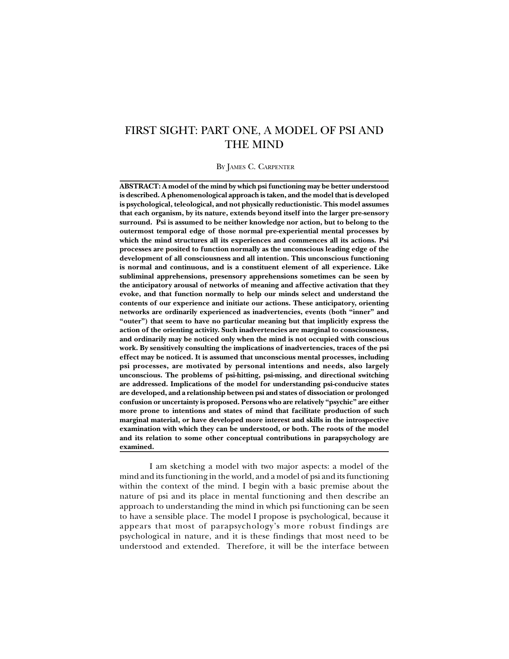# FIRST SIGHT: PART ONE, A MODEL OF PSI AND THE MIND

BY JAMES C. CARPENTER

**ABSTRACT: A model of the mind by which psi functioning may be better understood is described. A phenomenological approach is taken, and the model that is developed is psychological, teleological, and not physically reductionistic. This model assumes that each organism, by its nature, extends beyond itself into the larger pre-sensory surround. Psi is assumed to be neither knowledge nor action, but to belong to the outermost temporal edge of those normal pre-experiential mental processes by which the mind structures all its experiences and commences all its actions. Psi processes are posited to function normally as the unconscious leading edge of the development of all consciousness and all intention. This unconscious functioning is normal and continuous, and is a constituent element of all experience. Like subliminal apprehensions, presensory apprehensions sometimes can be seen by the anticipatory arousal of networks of meaning and affective activation that they evoke, and that function normally to help our minds select and understand the contents of our experience and initiate our actions. These anticipatory, orienting networks are ordinarily experienced as inadvertencies, events (both "inner" and "outer") that seem to have no particular meaning but that implicitly express the action of the orienting activity. Such inadvertencies are marginal to consciousness, and ordinarily may be noticed only when the mind is not occupied with conscious work. By sensitively consulting the implications of inadvertencies, traces of the psi effect may be noticed. It is assumed that unconscious mental processes, including psi processes, are motivated by personal intentions and needs, also largely unconscious. The problems of psi-hitting, psi-missing, and directional switching are addressed. Implications of the model for understanding psi-conducive states are developed, and a relationship between psi and states of dissociation or prolonged confusion or uncertainty is proposed. Persons who are relatively "psychic" are either more prone to intentions and states of mind that facilitate production of such marginal material, or have developed more interest and skills in the introspective examination with which they can be understood, or both. The roots of the model and its relation to some other conceptual contributions in parapsychology are examined.**

I am sketching a model with two major aspects: a model of the mind and its functioning in the world, and a model of psi and its functioning within the context of the mind. I begin with a basic premise about the nature of psi and its place in mental functioning and then describe an approach to understanding the mind in which psi functioning can be seen to have a sensible place. The model I propose is psychological, because it appears that most of parapsychology's more robust findings are psychological in nature, and it is these findings that most need to be understood and extended. Therefore, it will be the interface between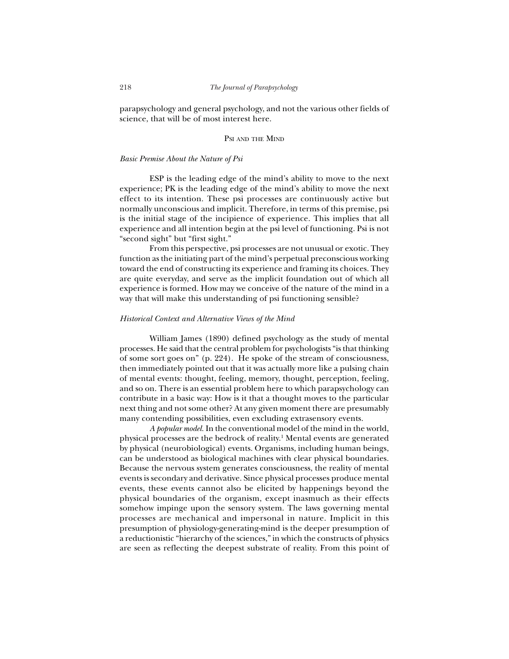parapsychology and general psychology, and not the various other fields of science, that will be of most interest here.

# PSI AND THE MIND

# *Basic Premise About the Nature of Psi*

ESP is the leading edge of the mind's ability to move to the next experience; PK is the leading edge of the mind's ability to move the next effect to its intention. These psi processes are continuously active but normally unconscious and implicit. Therefore, in terms of this premise, psi is the initial stage of the incipience of experience. This implies that all experience and all intention begin at the psi level of functioning. Psi is not "second sight" but "first sight."

From this perspective, psi processes are not unusual or exotic. They function as the initiating part of the mind's perpetual preconscious working toward the end of constructing its experience and framing its choices. They are quite everyday, and serve as the implicit foundation out of which all experience is formed. How may we conceive of the nature of the mind in a way that will make this understanding of psi functioning sensible?

#### *Historical Context and Alternative Views of the Mind*

William James (1890) defined psychology as the study of mental processes. He said that the central problem for psychologists "is that thinking of some sort goes on" (p. 224). He spoke of the stream of consciousness, then immediately pointed out that it was actually more like a pulsing chain of mental events: thought, feeling, memory, thought, perception, feeling, and so on. There is an essential problem here to which parapsychology can contribute in a basic way: How is it that a thought moves to the particular next thing and not some other? At any given moment there are presumably many contending possibilities, even excluding extrasensory events.

*A popular model.* In the conventional model of the mind in the world, physical processes are the bedrock of reality.<sup>1</sup> Mental events are generated by physical (neurobiological) events. Organisms, including human beings, can be understood as biological machines with clear physical boundaries. Because the nervous system generates consciousness, the reality of mental events is secondary and derivative. Since physical processes produce mental events, these events cannot also be elicited by happenings beyond the physical boundaries of the organism, except inasmuch as their effects somehow impinge upon the sensory system. The laws governing mental processes are mechanical and impersonal in nature. Implicit in this presumption of physiology-generating-mind is the deeper presumption of a reductionistic "hierarchy of the sciences," in which the constructs of physics are seen as reflecting the deepest substrate of reality. From this point of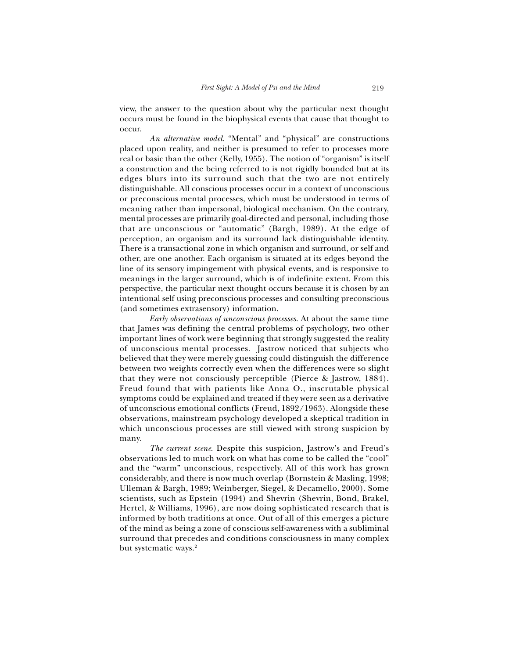view, the answer to the question about why the particular next thought occurs must be found in the biophysical events that cause that thought to occur.

*An alternative model.* "Mental" and "physical" are constructions placed upon reality, and neither is presumed to refer to processes more real or basic than the other (Kelly, 1955). The notion of "organism" is itself a construction and the being referred to is not rigidly bounded but at its edges blurs into its surround such that the two are not entirely distinguishable. All conscious processes occur in a context of unconscious or preconscious mental processes, which must be understood in terms of meaning rather than impersonal, biological mechanism. On the contrary, mental processes are primarily goal-directed and personal, including those that are unconscious or "automatic" (Bargh, 1989). At the edge of perception, an organism and its surround lack distinguishable identity. There is a transactional zone in which organism and surround, or self and other, are one another. Each organism is situated at its edges beyond the line of its sensory impingement with physical events, and is responsive to meanings in the larger surround, which is of indefinite extent. From this perspective, the particular next thought occurs because it is chosen by an intentional self using preconscious processes and consulting preconscious (and sometimes extrasensory) information.

*Early observations of unconscious processes*. At about the same time that James was defining the central problems of psychology, two other important lines of work were beginning that strongly suggested the reality of unconscious mental processes. Jastrow noticed that subjects who believed that they were merely guessing could distinguish the difference between two weights correctly even when the differences were so slight that they were not consciously perceptible (Pierce & Jastrow, 1884). Freud found that with patients like Anna O., inscrutable physical symptoms could be explained and treated if they were seen as a derivative of unconscious emotional conflicts (Freud, 1892/1963). Alongside these observations, mainstream psychology developed a skeptical tradition in which unconscious processes are still viewed with strong suspicion by many.

*The current scene*. Despite this suspicion, Jastrow's and Freud's observations led to much work on what has come to be called the "cool" and the "warm" unconscious, respectively. All of this work has grown considerably, and there is now much overlap (Bornstein & Masling, 1998; Ulleman & Bargh, 1989; Weinberger, Siegel, & Decamello, 2000). Some scientists, such as Epstein (1994) and Shevrin (Shevrin, Bond, Brakel, Hertel, & Williams, 1996), are now doing sophisticated research that is informed by both traditions at once. Out of all of this emerges a picture of the mind as being a zone of conscious self-awareness with a subliminal surround that precedes and conditions consciousness in many complex but systematic ways.<sup>2</sup>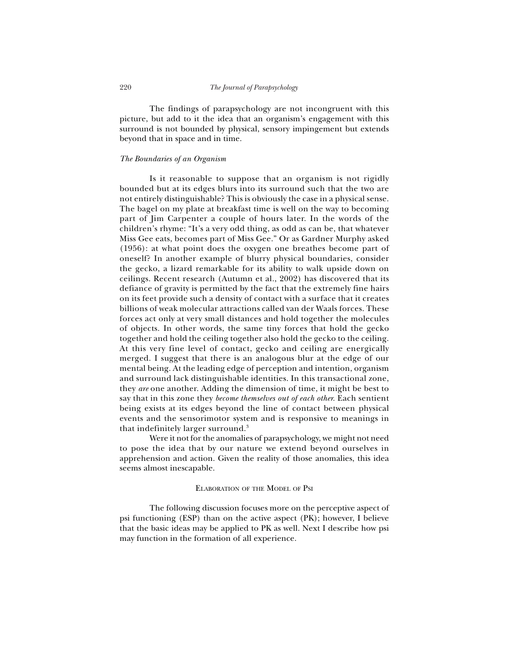The findings of parapsychology are not incongruent with this picture, but add to it the idea that an organism's engagement with this surround is not bounded by physical, sensory impingement but extends beyond that in space and in time.

# *The Boundaries of an Organism*

Is it reasonable to suppose that an organism is not rigidly bounded but at its edges blurs into its surround such that the two are not entirely distinguishable? This is obviously the case in a physical sense. The bagel on my plate at breakfast time is well on the way to becoming part of Jim Carpenter a couple of hours later. In the words of the children's rhyme: "It's a very odd thing, as odd as can be, that whatever Miss Gee eats, becomes part of Miss Gee." Or as Gardner Murphy asked (1956): at what point does the oxygen one breathes become part of oneself? In another example of blurry physical boundaries, consider the gecko, a lizard remarkable for its ability to walk upside down on ceilings. Recent research (Autumn et al., 2002) has discovered that its defiance of gravity is permitted by the fact that the extremely fine hairs on its feet provide such a density of contact with a surface that it creates billions of weak molecular attractions called van der Waals forces. These forces act only at very small distances and hold together the molecules of objects. In other words, the same tiny forces that hold the gecko together and hold the ceiling together also hold the gecko to the ceiling. At this very fine level of contact, gecko and ceiling are energically merged. I suggest that there is an analogous blur at the edge of our mental being. At the leading edge of perception and intention, organism and surround lack distinguishable identities. In this transactional zone, they *are* one another. Adding the dimension of time, it might be best to say that in this zone they *become themselves out of each other.* Each sentient being exists at its edges beyond the line of contact between physical events and the sensorimotor system and is responsive to meanings in that indefinitely larger surround.3

Were it not for the anomalies of parapsychology, we might not need to pose the idea that by our nature we extend beyond ourselves in apprehension and action. Given the reality of those anomalies, this idea seems almost inescapable.

## ELABORATION OF THE MODEL OF PSI

The following discussion focuses more on the perceptive aspect of psi functioning (ESP) than on the active aspect (PK); however, I believe that the basic ideas may be applied to PK as well. Next I describe how psi may function in the formation of all experience.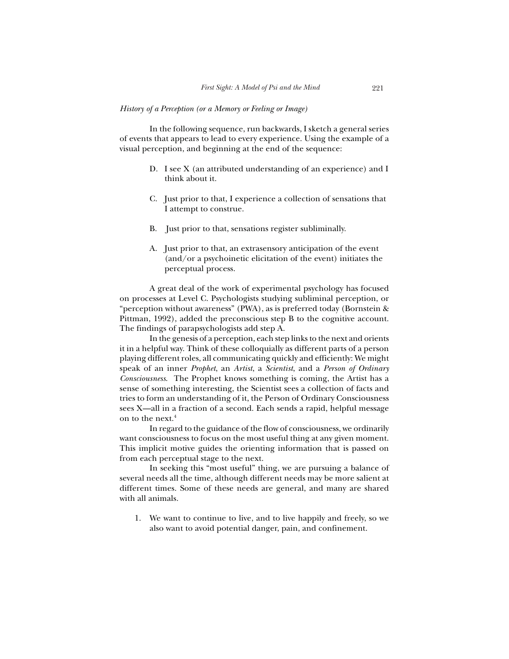#### *History of a Perception (or a Memory or Feeling or Image)*

In the following sequence, run backwards, I sketch a general series of events that appears to lead to every experience. Using the example of a visual perception, and beginning at the end of the sequence:

- D. I see X (an attributed understanding of an experience) and I think about it.
- C. Just prior to that, I experience a collection of sensations that I attempt to construe.
- B. Just prior to that, sensations register subliminally.
- A. Just prior to that, an extrasensory anticipation of the event (and/or a psychoinetic elicitation of the event) initiates the perceptual process.

A great deal of the work of experimental psychology has focused on processes at Level C. Psychologists studying subliminal perception, or "perception without awareness" (PWA), as is preferred today (Bornstein & Pittman, 1992), added the preconscious step B to the cognitive account. The findings of parapsychologists add step A.

In the genesis of a perception, each step links to the next and orients it in a helpful way. Think of these colloquially as different parts of a person playing different roles, all communicating quickly and efficiently: We might speak of an inner *Prophet*, an *Artist*, a *Scientist*, and a *Person of Ordinary Consciousness*. The Prophet knows something is coming, the Artist has a sense of something interesting, the Scientist sees a collection of facts and tries to form an understanding of it, the Person of Ordinary Consciousness sees X—all in a fraction of a second. Each sends a rapid, helpful message on to the next.<sup>4</sup>

In regard to the guidance of the flow of consciousness, we ordinarily want consciousness to focus on the most useful thing at any given moment. This implicit motive guides the orienting information that is passed on from each perceptual stage to the next.

In seeking this "most useful" thing, we are pursuing a balance of several needs all the time, although different needs may be more salient at different times. Some of these needs are general, and many are shared with all animals.

1. We want to continue to live, and to live happily and freely, so we also want to avoid potential danger, pain, and confinement.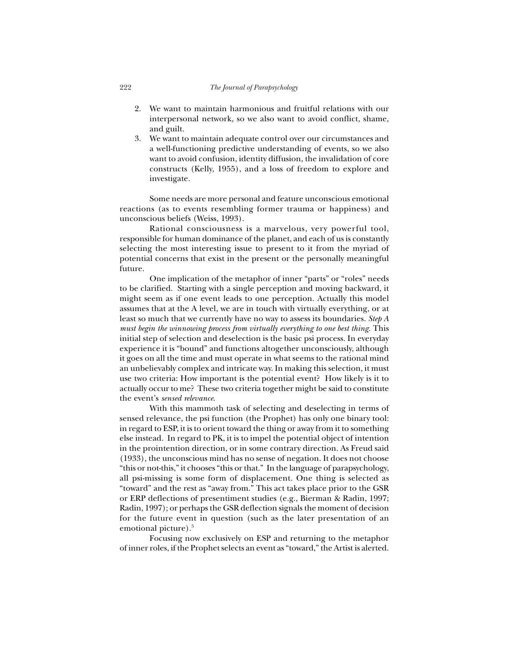- 2. We want to maintain harmonious and fruitful relations with our interpersonal network, so we also want to avoid conflict, shame, and guilt.
- 3. We want to maintain adequate control over our circumstances and a well-functioning predictive understanding of events, so we also want to avoid confusion, identity diffusion, the invalidation of core constructs (Kelly, 1955), and a loss of freedom to explore and investigate.

Some needs are more personal and feature unconscious emotional reactions (as to events resembling former trauma or happiness) and unconscious beliefs (Weiss, 1993).

Rational consciousness is a marvelous, very powerful tool, responsible for human dominance of the planet, and each of us is constantly selecting the most interesting issue to present to it from the myriad of potential concerns that exist in the present or the personally meaningful future.

One implication of the metaphor of inner "parts" or "roles" needs to be clarified. Starting with a single perception and moving backward, it might seem as if one event leads to one perception. Actually this model assumes that at the A level, we are in touch with virtually everything, or at least so much that we currently have no way to assess its boundaries. *Step A must begin the winnowing process from virtually everything to one best thing*. This initial step of selection and deselection is the basic psi process. In everyday experience it is "bound" and functions altogether unconsciously, although it goes on all the time and must operate in what seems to the rational mind an unbelievably complex and intricate way. In making this selection, it must use two criteria: How important is the potential event? How likely is it to actually occur to me? These two criteria together might be said to constitute the event's *sensed relevance*.

With this mammoth task of selecting and deselecting in terms of sensed relevance, the psi function (the Prophet) has only one binary tool: in regard to ESP, it is to orient toward the thing or away from it to something else instead. In regard to PK, it is to impel the potential object of intention in the prointention direction, or in some contrary direction. As Freud said (1933), the unconscious mind has no sense of negation. It does not choose "this or not-this," it chooses "this or that." In the language of parapsychology, all psi-missing is some form of displacement. One thing is selected as "toward" and the rest as "away from." This act takes place prior to the GSR or ERP deflections of presentiment studies (e.g., Bierman & Radin, 1997; Radin, 1997); or perhaps the GSR deflection signals the moment of decision for the future event in question (such as the later presentation of an emotional picture).<sup>5</sup>

Focusing now exclusively on ESP and returning to the metaphor of inner roles, if the Prophet selects an event as "toward," the Artist is alerted.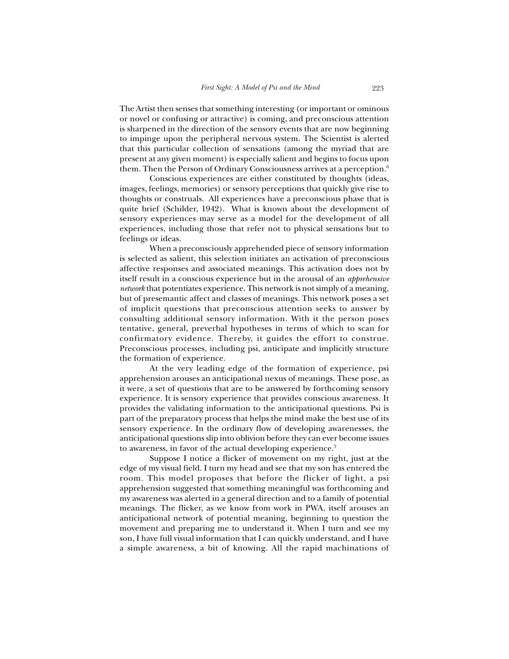The Artist then senses that something interesting (or important or ominous or novel or confusing or attractive) is coming, and preconscious attention is sharpened in the direction of the sensory events that are now beginning to impinge upon the peripheral nervous system. The Scientist is alerted that this particular collection of sensations (among the myriad that are present at any given moment) is especially salient and begins to focus upon them. Then the Person of Ordinary Consciousness arrives at a perception.<sup>6</sup>

Conscious experiences are either constituted by thoughts (ideas, images, feelings, memories) or sensory perceptions that quickly give rise to thoughts or construals. All experiences have a preconscious phase that is quite brief (Schilder, 1942). What is known about the development of sensory experiences may serve as a model for the development of all experiences, including those that refer not to physical sensations but to feelings or ideas.

When a preconsciously apprehended piece of sensory information is selected as salient, this selection initiates an activation of preconscious affective responses and associated meanings. This activation does not by itself result in a conscious experience but in the arousal of an *apprehensive network* that potentiates experience. This network is not simply of a meaning, but of presemantic affect and classes of meanings. This network poses a set of implicit questions that preconscious attention seeks to answer by consulting additional sensory information. With it the person poses tentative, general, preverbal hypotheses in terms of which to scan for confirmatory evidence. Thereby, it guides the effort to construe. Preconscious processes, including psi, anticipate and implicitly structure the formation of experience.

At the very leading edge of the formation of experience, psi apprehension arouses an anticipational nexus of meanings. These pose, as it were, a set of questions that are to be answered by forthcoming sensory experience. It is sensory experience that provides conscious awareness. It provides the validating information to the anticipational questions. Psi is part of the preparatory process that helps the mind make the best use of its sensory experience. In the ordinary flow of developing awarenesses, the anticipational questions slip into oblivion before they can ever become issues to awareness, in favor of the actual developing experience.<sup>7</sup>

Suppose I notice a flicker of movement on my right, just at the edge of my visual field. I turn my head and see that my son has entered the room. This model proposes that before the flicker of light, a psi apprehension suggested that something meaningful was forthcoming and my awareness was alerted in a general direction and to a family of potential meanings. The flicker, as we know from work in PWA, itself arouses an anticipational network of potential meaning, beginning to question the movement and preparing me to understand it. When I turn and see my son, I have full visual information that I can quickly understand, and I have a simple awareness, a bit of knowing. All the rapid machinations of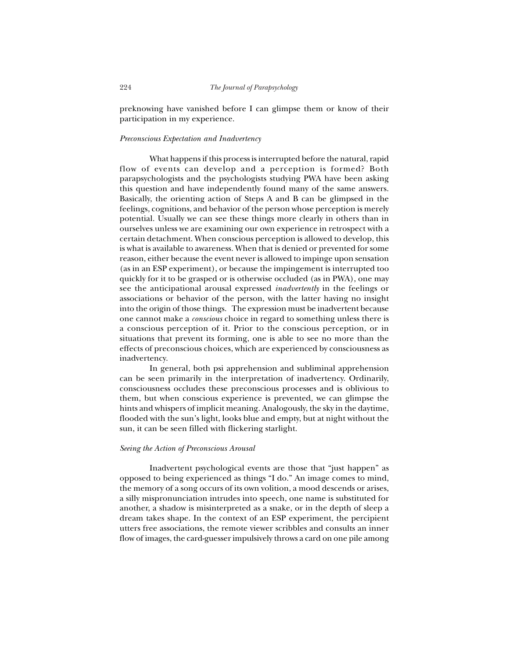preknowing have vanished before I can glimpse them or know of their participation in my experience.

#### *Preconscious Expectation and Inadvertency*

What happens if this process is interrupted before the natural, rapid flow of events can develop and a perception is formed? Both parapsychologists and the psychologists studying PWA have been asking this question and have independently found many of the same answers. Basically, the orienting action of Steps A and B can be glimpsed in the feelings, cognitions, and behavior of the person whose perception is merely potential. Usually we can see these things more clearly in others than in ourselves unless we are examining our own experience in retrospect with a certain detachment. When conscious perception is allowed to develop, this is what is available to awareness. When that is denied or prevented for some reason, either because the event never is allowed to impinge upon sensation (as in an ESP experiment), or because the impingement is interrupted too quickly for it to be grasped or is otherwise occluded (as in PWA), one may see the anticipational arousal expressed *inadvertently* in the feelings or associations or behavior of the person, with the latter having no insight into the origin of those things. The expression must be inadvertent because one cannot make a *conscious* choice in regard to something unless there is a conscious perception of it. Prior to the conscious perception, or in situations that prevent its forming, one is able to see no more than the effects of preconscious choices, which are experienced by consciousness as inadvertency.

In general, both psi apprehension and subliminal apprehension can be seen primarily in the interpretation of inadvertency. Ordinarily, consciousness occludes these preconscious processes and is oblivious to them, but when conscious experience is prevented, we can glimpse the hints and whispers of implicit meaning. Analogously, the sky in the daytime, flooded with the sun's light, looks blue and empty, but at night without the sun, it can be seen filled with flickering starlight.

#### *Seeing the Action of Preconscious Arousal*

Inadvertent psychological events are those that "just happen" as opposed to being experienced as things "I do." An image comes to mind, the memory of a song occurs of its own volition, a mood descends or arises, a silly mispronunciation intrudes into speech, one name is substituted for another, a shadow is misinterpreted as a snake, or in the depth of sleep a dream takes shape. In the context of an ESP experiment, the percipient utters free associations, the remote viewer scribbles and consults an inner flow of images, the card-guesser impulsively throws a card on one pile among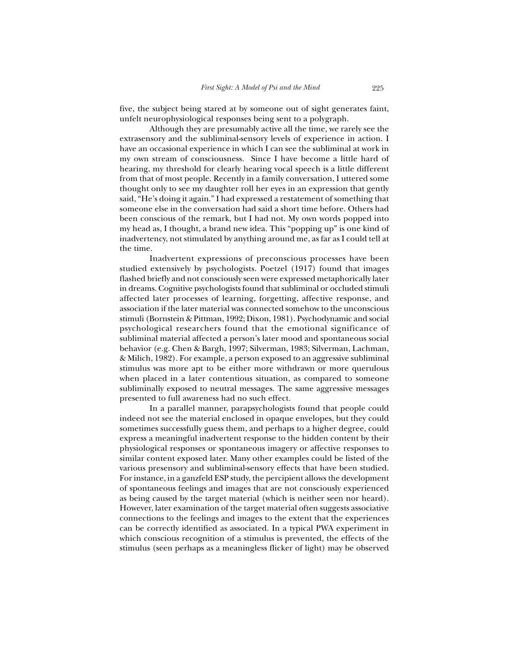five, the subject being stared at by someone out of sight generates faint, unfelt neurophysiological responses being sent to a polygraph.

Although they are presumably active all the time, we rarely see the extrasensory and the subliminal-sensory levels of experience in action. I have an occasional experience in which I can see the subliminal at work in my own stream of consciousness. Since I have become a little hard of hearing, my threshold for clearly hearing vocal speech is a little different from that of most people. Recently in a family conversation, I uttered some thought only to see my daughter roll her eyes in an expression that gently said, "He's doing it again." I had expressed a restatement of something that someone else in the conversation had said a short time before. Others had been conscious of the remark, but I had not. My own words popped into my head as, I thought, a brand new idea. This "popping up" is one kind of inadvertency, not stimulated by anything around me, as far as I could tell at the time.

Inadvertent expressions of preconscious processes have been studied extensively by psychologists. Poetzel (1917) found that images flashed briefly and not consciously seen were expressed metaphorically later in dreams. Cognitive psychologists found that subliminal or occluded stimuli affected later processes of learning, forgetting, affective response, and association if the later material was connected somehow to the unconscious stimuli (Bornstein & Pittman, 1992; Dixon, 1981). Psychodynamic and social psychological researchers found that the emotional significance of subliminal material affected a person's later mood and spontaneous social behavior (e.g. Chen & Bargh, 1997; Silverman, 1983; Silverman, Lachman, & Milich, 1982). For example, a person exposed to an aggressive subliminal stimulus was more apt to be either more withdrawn or more querulous when placed in a later contentious situation, as compared to someone subliminally exposed to neutral messages. The same aggressive messages presented to full awareness had no such effect.

In a parallel manner, parapsychologists found that people could indeed not see the material enclosed in opaque envelopes, but they could sometimes successfully guess them, and perhaps to a higher degree, could express a meaningful inadvertent response to the hidden content by their physiological responses or spontaneous imagery or affective responses to similar content exposed later. Many other examples could be listed of the various presensory and subliminal-sensory effects that have been studied. For instance, in a ganzfeld ESP study, the percipient allows the development of spontaneous feelings and images that are not consciously experienced as being caused by the target material (which is neither seen nor heard). However, later examination of the target material often suggests associative connections to the feelings and images to the extent that the experiences can be correctly identified as associated. In a typical PWA experiment in which conscious recognition of a stimulus is prevented, the effects of the stimulus (seen perhaps as a meaningless flicker of light) may be observed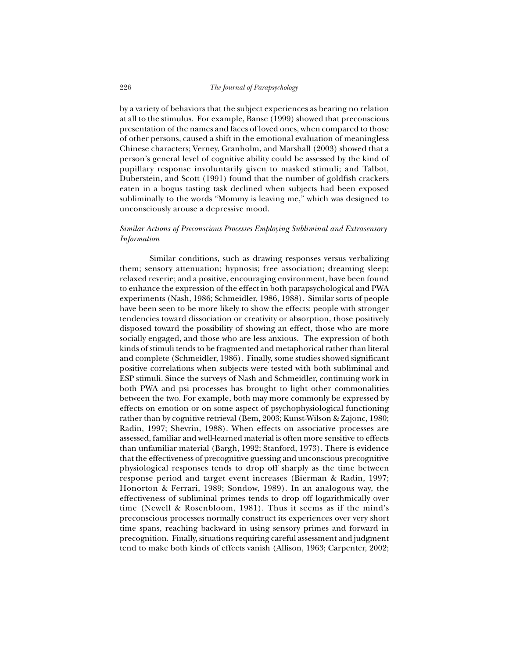by a variety of behaviors that the subject experiences as bearing no relation at all to the stimulus. For example, Banse (1999) showed that preconscious presentation of the names and faces of loved ones, when compared to those of other persons, caused a shift in the emotional evaluation of meaningless Chinese characters; Verney, Granholm, and Marshall (2003) showed that a person's general level of cognitive ability could be assessed by the kind of pupillary response involuntarily given to masked stimuli; and Talbot, Duberstein, and Scott (1991) found that the number of goldfish crackers eaten in a bogus tasting task declined when subjects had been exposed subliminally to the words "Mommy is leaving me," which was designed to unconsciously arouse a depressive mood.

# *Similar Actions of Preconscious Processes Employing Subliminal and Extrasensory Information*

Similar conditions, such as drawing responses versus verbalizing them; sensory attenuation; hypnosis; free association; dreaming sleep; relaxed reverie; and a positive, encouraging environment, have been found to enhance the expression of the effect in both parapsychological and PWA experiments (Nash, 1986; Schmeidler, 1986, 1988). Similar sorts of people have been seen to be more likely to show the effects: people with stronger tendencies toward dissociation or creativity or absorption, those positively disposed toward the possibility of showing an effect, those who are more socially engaged, and those who are less anxious. The expression of both kinds of stimuli tends to be fragmented and metaphorical rather than literal and complete (Schmeidler, 1986). Finally, some studies showed significant positive correlations when subjects were tested with both subliminal and ESP stimuli. Since the surveys of Nash and Schmeidler, continuing work in both PWA and psi processes has brought to light other commonalities between the two. For example, both may more commonly be expressed by effects on emotion or on some aspect of psychophysiological functioning rather than by cognitive retrieval (Bem, 2003; Kunst-Wilson & Zajonc, 1980; Radin, 1997; Shevrin, 1988). When effects on associative processes are assessed, familiar and well-learned material is often more sensitive to effects than unfamiliar material (Bargh, 1992; Stanford, 1973). There is evidence that the effectiveness of precognitive guessing and unconscious precognitive physiological responses tends to drop off sharply as the time between response period and target event increases (Bierman & Radin, 1997; Honorton & Ferrari, 1989; Sondow, 1989). In an analogous way, the effectiveness of subliminal primes tends to drop off logarithmically over time (Newell & Rosenbloom, 1981). Thus it seems as if the mind's preconscious processes normally construct its experiences over very short time spans, reaching backward in using sensory primes and forward in precognition. Finally, situations requiring careful assessment and judgment tend to make both kinds of effects vanish (Allison, 1963; Carpenter, 2002;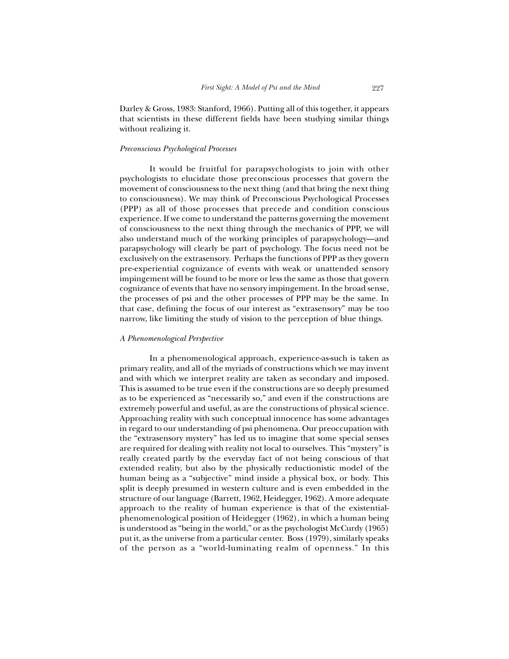Darley & Gross, 1983: Stanford, 1966). Putting all of this together, it appears that scientists in these different fields have been studying similar things without realizing it.

#### *Preconscious Psychological Processes*

It would be fruitful for parapsychologists to join with other psychologists to elucidate those preconscious processes that govern the movement of consciousness to the next thing (and that bring the next thing to consciousness). We may think of Preconscious Psychological Processes (PPP) as all of those processes that precede and condition conscious experience. If we come to understand the patterns governing the movement of consciousness to the next thing through the mechanics of PPP, we will also understand much of the working principles of parapsychology—and parapsychology will clearly be part of psychology. The focus need not be exclusively on the extrasensory. Perhaps the functions of PPP as they govern pre-experiential cognizance of events with weak or unattended sensory impingement will be found to be more or less the same as those that govern cognizance of events that have no sensory impingement. In the broad sense, the processes of psi and the other processes of PPP may be the same. In that case, defining the focus of our interest as "extrasensory" may be too narrow, like limiting the study of vision to the perception of blue things.

# *A Phenomenological Perspective*

In a phenomenological approach, experience-as-such is taken as primary reality, and all of the myriads of constructions which we may invent and with which we interpret reality are taken as secondary and imposed. This is assumed to be true even if the constructions are so deeply presumed as to be experienced as "necessarily so," and even if the constructions are extremely powerful and useful, as are the constructions of physical science. Approaching reality with such conceptual innocence has some advantages in regard to our understanding of psi phenomena. Our preoccupation with the "extrasensory mystery" has led us to imagine that some special senses are required for dealing with reality not local to ourselves. This "mystery" is really created partly by the everyday fact of not being conscious of that extended reality, but also by the physically reductionistic model of the human being as a "subjective" mind inside a physical box, or body. This split is deeply presumed in western culture and is even embedded in the structure of our language (Barrett, 1962, Heidegger, 1962). A more adequate approach to the reality of human experience is that of the existentialphenomenological position of Heidegger (1962), in which a human being is understood as "being in the world," or as the psychologist McCurdy (1965) put it, as the universe from a particular center. Boss (1979), similarly speaks of the person as a "world-luminating realm of openness." In this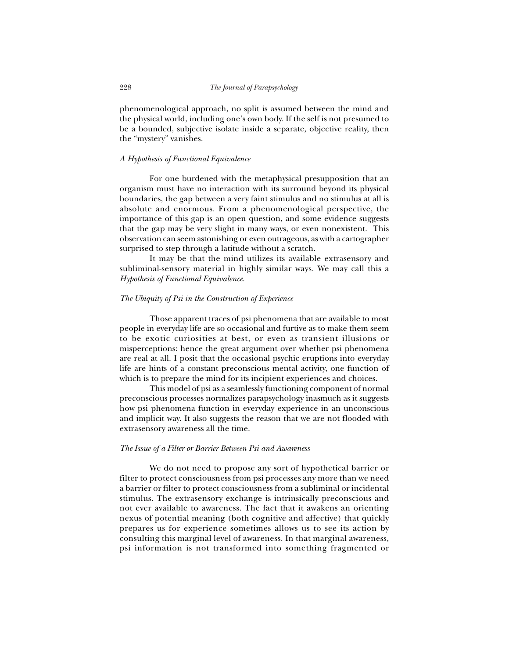phenomenological approach, no split is assumed between the mind and the physical world, including one's own body. If the self is not presumed to be a bounded, subjective isolate inside a separate, objective reality, then the "mystery" vanishes.

# *A Hypothesis of Functional Equivalence*

For one burdened with the metaphysical presupposition that an organism must have no interaction with its surround beyond its physical boundaries, the gap between a very faint stimulus and no stimulus at all is absolute and enormous. From a phenomenological perspective, the importance of this gap is an open question, and some evidence suggests that the gap may be very slight in many ways, or even nonexistent. This observation can seem astonishing or even outrageous, as with a cartographer surprised to step through a latitude without a scratch.

It may be that the mind utilizes its available extrasensory and subliminal-sensory material in highly similar ways. We may call this a *Hypothesis of Functional Equivalence.*

#### *The Ubiquity of Psi in the Construction of Experience*

Those apparent traces of psi phenomena that are available to most people in everyday life are so occasional and furtive as to make them seem to be exotic curiosities at best, or even as transient illusions or misperceptions: hence the great argument over whether psi phenomena are real at all. I posit that the occasional psychic eruptions into everyday life are hints of a constant preconscious mental activity, one function of which is to prepare the mind for its incipient experiences and choices.

This model of psi as a seamlessly functioning component of normal preconscious processes normalizes parapsychology inasmuch as it suggests how psi phenomena function in everyday experience in an unconscious and implicit way. It also suggests the reason that we are not flooded with extrasensory awareness all the time.

# *The Issue of a Filter or Barrier Between Psi and Awareness*

We do not need to propose any sort of hypothetical barrier or filter to protect consciousness from psi processes any more than we need a barrier or filter to protect consciousness from a subliminal or incidental stimulus. The extrasensory exchange is intrinsically preconscious and not ever available to awareness. The fact that it awakens an orienting nexus of potential meaning (both cognitive and affective) that quickly prepares us for experience sometimes allows us to see its action by consulting this marginal level of awareness. In that marginal awareness, psi information is not transformed into something fragmented or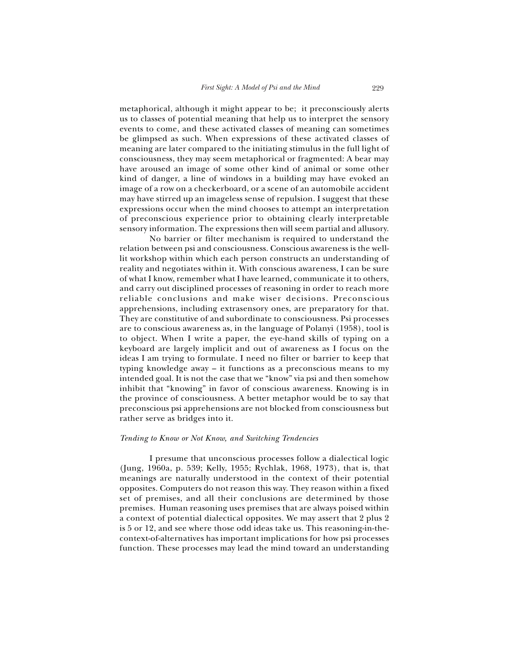metaphorical, although it might appear to be; it preconsciously alerts us to classes of potential meaning that help us to interpret the sensory events to come, and these activated classes of meaning can sometimes be glimpsed as such. When expressions of these activated classes of meaning are later compared to the initiating stimulus in the full light of consciousness, they may seem metaphorical or fragmented: A bear may have aroused an image of some other kind of animal or some other kind of danger, a line of windows in a building may have evoked an image of a row on a checkerboard, or a scene of an automobile accident may have stirred up an imageless sense of repulsion. I suggest that these expressions occur when the mind chooses to attempt an interpretation of preconscious experience prior to obtaining clearly interpretable sensory information. The expressions then will seem partial and allusory.

No barrier or filter mechanism is required to understand the relation between psi and consciousness. Conscious awareness is the welllit workshop within which each person constructs an understanding of reality and negotiates within it. With conscious awareness, I can be sure of what I know, remember what I have learned, communicate it to others, and carry out disciplined processes of reasoning in order to reach more reliable conclusions and make wiser decisions. Preconscious apprehensions, including extrasensory ones, are preparatory for that. They are constitutive of and subordinate to consciousness. Psi processes are to conscious awareness as, in the language of Polanyi (1958), tool is to object. When I write a paper, the eye-hand skills of typing on a keyboard are largely implicit and out of awareness as I focus on the ideas I am trying to formulate. I need no filter or barrier to keep that typing knowledge away – it functions as a preconscious means to my intended goal. It is not the case that we "know" via psi and then somehow inhibit that "knowing" in favor of conscious awareness. Knowing is in the province of consciousness. A better metaphor would be to say that preconscious psi apprehensions are not blocked from consciousness but rather serve as bridges into it.

#### *Tending to Know or Not Know, and Switching Tendencies*

I presume that unconscious processes follow a dialectical logic (Jung, 1960a, p. 539; Kelly, 1955; Rychlak, 1968, 1973), that is, that meanings are naturally understood in the context of their potential opposites. Computers do not reason this way. They reason within a fixed set of premises, and all their conclusions are determined by those premises. Human reasoning uses premises that are always poised within a context of potential dialectical opposites. We may assert that 2 plus 2 is 5 or 12, and see where those odd ideas take us. This reasoning-in-thecontext-of-alternatives has important implications for how psi processes function. These processes may lead the mind toward an understanding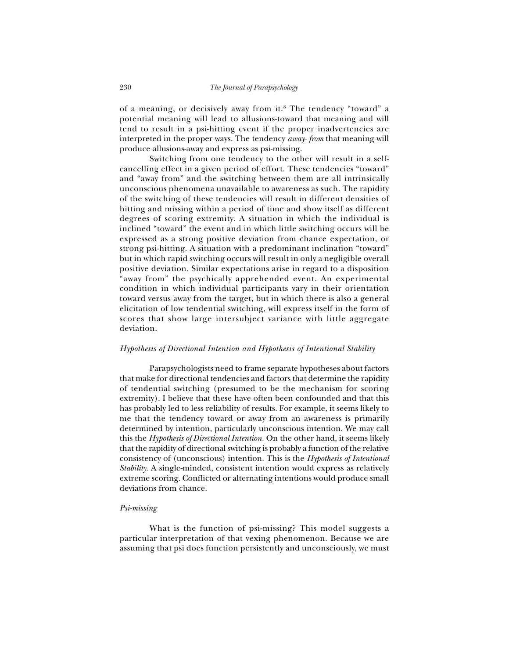of a meaning, or decisively away from it.<sup>8</sup> The tendency "toward" a potential meaning will lead to allusions-toward that meaning and will tend to result in a psi-hitting event if the proper inadvertencies are interpreted in the proper ways. The tendency *away- from* that meaning will produce allusions-away and express as psi-missing.

Switching from one tendency to the other will result in a selfcancelling effect in a given period of effort. These tendencies "toward" and "away from" and the switching between them are all intrinsically unconscious phenomena unavailable to awareness as such. The rapidity of the switching of these tendencies will result in different densities of hitting and missing within a period of time and show itself as different degrees of scoring extremity. A situation in which the individual is inclined "toward" the event and in which little switching occurs will be expressed as a strong positive deviation from chance expectation, or strong psi-hitting. A situation with a predominant inclination "toward" but in which rapid switching occurs will result in only a negligible overall positive deviation. Similar expectations arise in regard to a disposition "away from" the psychically apprehended event. An experimental condition in which individual participants vary in their orientation toward versus away from the target, but in which there is also a general elicitation of low tendential switching, will express itself in the form of scores that show large intersubject variance with little aggregate deviation.

#### *Hypothesis of Directional Intention and Hypothesis of Intentional Stability*

Parapsychologists need to frame separate hypotheses about factors that make for directional tendencies and factors that determine the rapidity of tendential switching (presumed to be the mechanism for scoring extremity). I believe that these have often been confounded and that this has probably led to less reliability of results. For example, it seems likely to me that the tendency toward or away from an awareness is primarily determined by intention, particularly unconscious intention. We may call this the *Hypothesis of Directional Intention.* On the other hand, it seems likely that the rapidity of directional switching is probably a function of the relative consistency of (unconscious) intention. This is the *Hypothesis of Intentional Stability.* A single-minded, consistent intention would express as relatively extreme scoring. Conflicted or alternating intentions would produce small deviations from chance.

#### *Psi-missing*

What is the function of psi-missing? This model suggests a particular interpretation of that vexing phenomenon. Because we are assuming that psi does function persistently and unconsciously, we must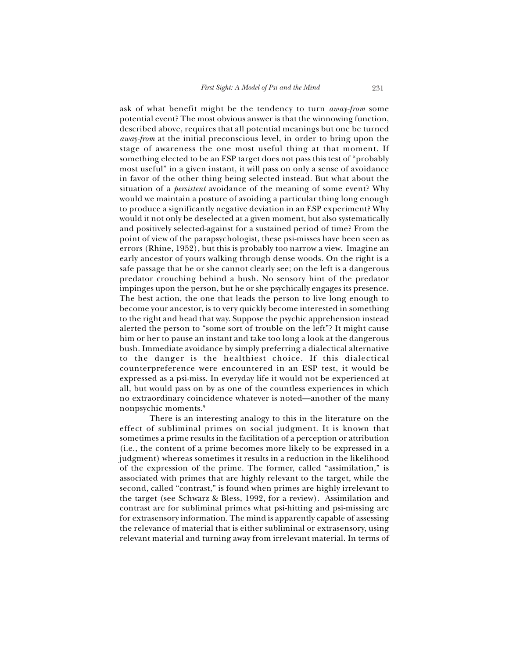ask of what benefit might be the tendency to turn *away-from* some potential event? The most obvious answer is that the winnowing function, described above, requires that all potential meanings but one be turned *away-from* at the initial preconscious level, in order to bring upon the stage of awareness the one most useful thing at that moment. If something elected to be an ESP target does not pass this test of "probably most useful" in a given instant, it will pass on only a sense of avoidance in favor of the other thing being selected instead. But what about the situation of a *persistent* avoidance of the meaning of some event? Why would we maintain a posture of avoiding a particular thing long enough to produce a significantly negative deviation in an ESP experiment? Why would it not only be deselected at a given moment, but also systematically and positively selected-against for a sustained period of time? From the point of view of the parapsychologist, these psi-misses have been seen as errors (Rhine, 1952), but this is probably too narrow a view. Imagine an early ancestor of yours walking through dense woods. On the right is a safe passage that he or she cannot clearly see; on the left is a dangerous predator crouching behind a bush. No sensory hint of the predator impinges upon the person, but he or she psychically engages its presence. The best action, the one that leads the person to live long enough to become your ancestor, is to very quickly become interested in something to the right and head that way. Suppose the psychic apprehension instead alerted the person to "some sort of trouble on the left"? It might cause him or her to pause an instant and take too long a look at the dangerous bush. Immediate avoidance by simply preferring a dialectical alternative to the danger is the healthiest choice. If this dialectical counterpreference were encountered in an ESP test, it would be expressed as a psi-miss. In everyday life it would not be experienced at all, but would pass on by as one of the countless experiences in which no extraordinary coincidence whatever is noted—another of the many nonpsychic moments.9

There is an interesting analogy to this in the literature on the effect of subliminal primes on social judgment. It is known that sometimes a prime results in the facilitation of a perception or attribution (i.e., the content of a prime becomes more likely to be expressed in a judgment) whereas sometimes it results in a reduction in the likelihood of the expression of the prime. The former, called "assimilation," is associated with primes that are highly relevant to the target, while the second, called "contrast," is found when primes are highly irrelevant to the target (see Schwarz & Bless, 1992, for a review). Assimilation and contrast are for subliminal primes what psi-hitting and psi-missing are for extrasensory information. The mind is apparently capable of assessing the relevance of material that is either subliminal or extrasensory, using relevant material and turning away from irrelevant material. In terms of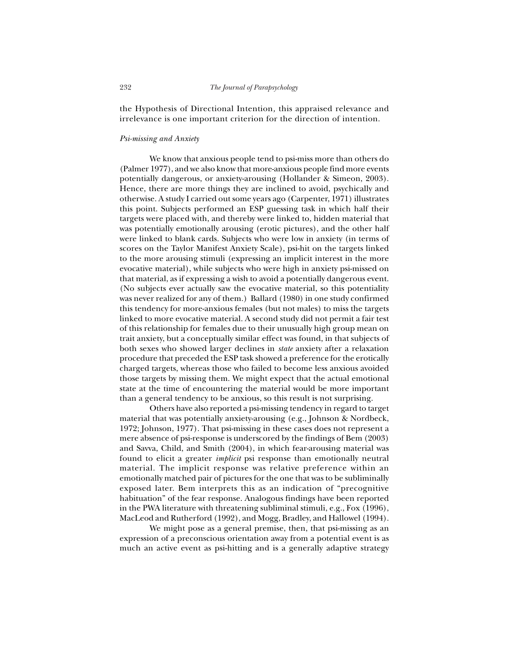the Hypothesis of Directional Intention*,* this appraised relevance and irrelevance is one important criterion for the direction of intention.

#### *Psi-missing and Anxiety*

We know that anxious people tend to psi-miss more than others do (Palmer 1977), and we also know that more-anxious people find more events potentially dangerous, or anxiety-arousing (Hollander & Simeon, 2003). Hence, there are more things they are inclined to avoid, psychically and otherwise. A study I carried out some years ago (Carpenter, 1971) illustrates this point. Subjects performed an ESP guessing task in which half their targets were placed with, and thereby were linked to, hidden material that was potentially emotionally arousing (erotic pictures), and the other half were linked to blank cards. Subjects who were low in anxiety (in terms of scores on the Taylor Manifest Anxiety Scale), psi-hit on the targets linked to the more arousing stimuli (expressing an implicit interest in the more evocative material), while subjects who were high in anxiety psi-missed on that material, as if expressing a wish to avoid a potentially dangerous event. (No subjects ever actually saw the evocative material, so this potentiality was never realized for any of them.) Ballard (1980) in one study confirmed this tendency for more-anxious females (but not males) to miss the targets linked to more evocative material. A second study did not permit a fair test of this relationship for females due to their unusually high group mean on trait anxiety, but a conceptually similar effect was found, in that subjects of both sexes who showed larger declines in *state* anxiety after a relaxation procedure that preceded the ESP task showed a preference for the erotically charged targets, whereas those who failed to become less anxious avoided those targets by missing them. We might expect that the actual emotional state at the time of encountering the material would be more important than a general tendency to be anxious, so this result is not surprising.

Others have also reported a psi-missing tendency in regard to target material that was potentially anxiety-arousing (e.g., Johnson & Nordbeck, 1972; Johnson, 1977). That psi-missing in these cases does not represent a mere absence of psi-response is underscored by the findings of Bem (2003) and Savva, Child, and Smith (2004), in which fear-arousing material was found to elicit a greater *implicit* psi response than emotionally neutral material. The implicit response was relative preference within an emotionally matched pair of pictures for the one that was to be subliminally exposed later. Bem interprets this as an indication of "precognitive habituation" of the fear response. Analogous findings have been reported in the PWA literature with threatening subliminal stimuli, e.g., Fox (1996), MacLeod and Rutherford (1992), and Mogg, Bradley, and Hallowel (1994).

We might pose as a general premise, then, that psi-missing as an expression of a preconscious orientation away from a potential event is as much an active event as psi-hitting and is a generally adaptive strategy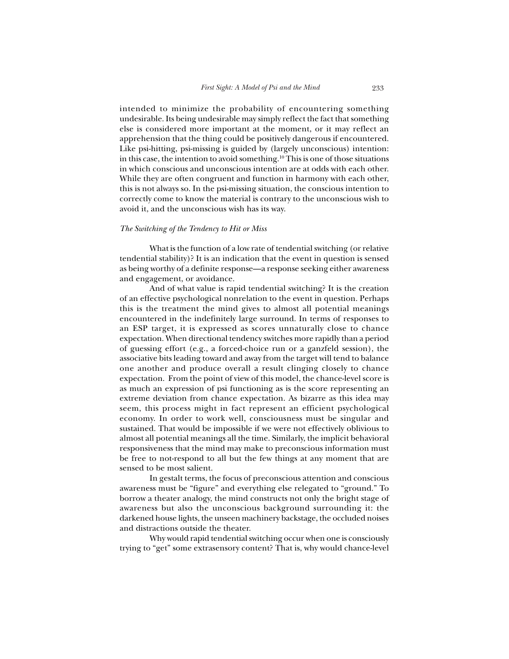intended to minimize the probability of encountering something undesirable. Its being undesirable may simply reflect the fact that something else is considered more important at the moment, or it may reflect an apprehension that the thing could be positively dangerous if encountered. Like psi-hitting, psi-missing is guided by (largely unconscious) intention: in this case, the intention to avoid something.10 This is one of those situations in which conscious and unconscious intention are at odds with each other. While they are often congruent and function in harmony with each other, this is not always so. In the psi-missing situation, the conscious intention to correctly come to know the material is contrary to the unconscious wish to avoid it, and the unconscious wish has its way.

# *The Switching of the Tendency to Hit or Miss*

What is the function of a low rate of tendential switching (or relative tendential stability)? It is an indication that the event in question is sensed as being worthy of a definite response—a response seeking either awareness and engagement, or avoidance.

And of what value is rapid tendential switching? It is the creation of an effective psychological nonrelation to the event in question. Perhaps this is the treatment the mind gives to almost all potential meanings encountered in the indefinitely large surround. In terms of responses to an ESP target, it is expressed as scores unnaturally close to chance expectation. When directional tendency switches more rapidly than a period of guessing effort (e.g., a forced-choice run or a ganzfeld session), the associative bits leading toward and away from the target will tend to balance one another and produce overall a result clinging closely to chance expectation. From the point of view of this model, the chance-level score is as much an expression of psi functioning as is the score representing an extreme deviation from chance expectation. As bizarre as this idea may seem, this process might in fact represent an efficient psychological economy. In order to work well, consciousness must be singular and sustained. That would be impossible if we were not effectively oblivious to almost all potential meanings all the time. Similarly, the implicit behavioral responsiveness that the mind may make to preconscious information must be free to not-respond to all but the few things at any moment that are sensed to be most salient.

In gestalt terms, the focus of preconscious attention and conscious awareness must be "figure" and everything else relegated to "ground." To borrow a theater analogy, the mind constructs not only the bright stage of awareness but also the unconscious background surrounding it: the darkened house lights, the unseen machinery backstage, the occluded noises and distractions outside the theater.

Why would rapid tendential switching occur when one is consciously trying to "get" some extrasensory content? That is, why would chance-level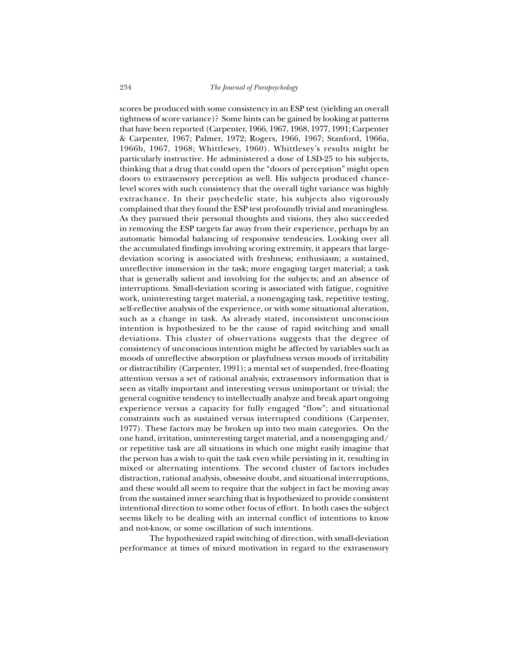scores be produced with some consistency in an ESP test (yielding an overall tightness of score variance)? Some hints can be gained by looking at patterns that have been reported (Carpenter, 1966, 1967, 1968, 1977, 1991; Carpenter & Carpenter, 1967; Palmer, 1972; Rogers, 1966, 1967; Stanford, 1966a, 1966b, 1967, 1968; Whittlesey, 1960). Whittlesey's results might be particularly instructive. He administered a dose of LSD-25 to his subjects, thinking that a drug that could open the "doors of perception" might open doors to extrasensory perception as well. His subjects produced chancelevel scores with such consistency that the overall tight variance was highly extrachance. In their psychedelic state, his subjects also vigorously complained that they found the ESP test profoundly trivial and meaningless. As they pursued their personal thoughts and visions, they also succeeded in removing the ESP targets far away from their experience, perhaps by an automatic bimodal balancing of responsive tendencies. Looking over all the accumulated findings involving scoring extremity, it appears that largedeviation scoring is associated with freshness; enthusiasm; a sustained, unreflective immersion in the task; more engaging target material; a task that is generally salient and involving for the subjects; and an absence of interruptions. Small-deviation scoring is associated with fatigue, cognitive work, uninteresting target material, a nonengaging task, repetitive testing, self-reflective analysis of the experience, or with some situational alteration, such as a change in task. As already stated, inconsistent unconscious intention is hypothesized to be the cause of rapid switching and small deviations. This cluster of observations suggests that the degree of consistency of unconscious intention might be affected by variables such as moods of unreflective absorption or playfulness versus moods of irritability or distractibility (Carpenter, 1991); a mental set of suspended, free-floating attention versus a set of rational analysis; extrasensory information that is seen as vitally important and interesting versus unimportant or trivial; the general cognitive tendency to intellectually analyze and break apart ongoing experience versus a capacity for fully engaged "flow"; and situational constraints such as sustained versus interrupted conditions (Carpenter, 1977). These factors may be broken up into two main categories. On the one hand, irritation, uninteresting target material, and a nonengaging and/ or repetitive task are all situations in which one might easily imagine that the person has a wish to quit the task even while persisting in it, resulting in mixed or alternating intentions. The second cluster of factors includes distraction, rational analysis, obsessive doubt, and situational interruptions, and these would all seem to require that the subject in fact be moving away from the sustained inner searching that is hypothesized to provide consistent intentional direction to some other focus of effort. In both cases the subject seems likely to be dealing with an internal conflict of intentions to know and not-know, or some oscillation of such intentions.

The hypothesized rapid switching of direction, with small-deviation performance at times of mixed motivation in regard to the extrasensory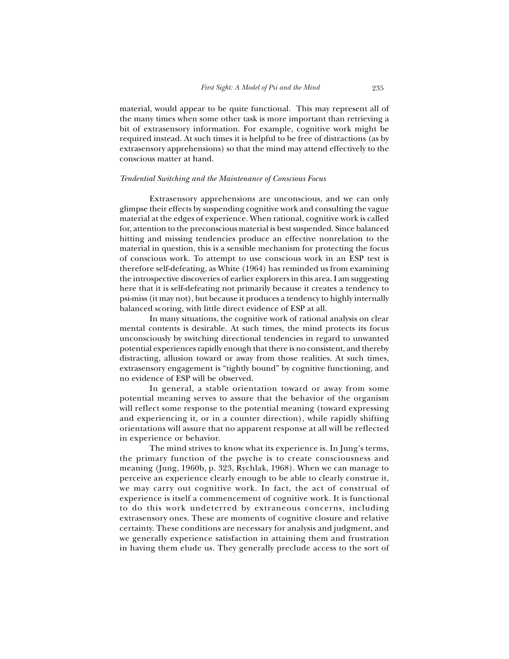material, would appear to be quite functional. This may represent all of the many times when some other task is more important than retrieving a bit of extrasensory information. For example, cognitive work might be required instead. At such times it is helpful to be free of distractions (as by extrasensory apprehensions) so that the mind may attend effectively to the conscious matter at hand.

#### *Tendential Switching and the Maintenance of Conscious Focus*

Extrasensory apprehensions are unconscious, and we can only glimpse their effects by suspending cognitive work and consulting the vague material at the edges of experience. When rational, cognitive work is called for, attention to the preconscious material is best suspended. Since balanced hitting and missing tendencies produce an effective nonrelation to the material in question, this is a sensible mechanism for protecting the focus of conscious work. To attempt to use conscious work in an ESP test is therefore self-defeating, as White (1964) has reminded us from examining the introspective discoveries of earlier explorers in this area. I am suggesting here that it is self-defeating not primarily because it creates a tendency to psi-miss (it may not), but because it produces a tendency to highly internally balanced scoring, with little direct evidence of ESP at all.

In many situations, the cognitive work of rational analysis on clear mental contents is desirable. At such times, the mind protects its focus unconsciously by switching directional tendencies in regard to unwanted potential experiences rapidly enough that there is no consistent, and thereby distracting, allusion toward or away from those realities. At such times, extrasensory engagement is "tightly bound" by cognitive functioning, and no evidence of ESP will be observed.

In general, a stable orientation toward or away from some potential meaning serves to assure that the behavior of the organism will reflect some response to the potential meaning (toward expressing and experiencing it, or in a counter direction), while rapidly shifting orientations will assure that no apparent response at all will be reflected in experience or behavior.

The mind strives to know what its experience is. In Jung's terms, the primary function of the psyche is to create consciousness and meaning (Jung, 1960b, p. 323, Rychlak, 1968). When we can manage to perceive an experience clearly enough to be able to clearly construe it, we may carry out cognitive work. In fact, the act of construal of experience is itself a commencement of cognitive work. It is functional to do this work undeterred by extraneous concerns, including extrasensory ones. These are moments of cognitive closure and relative certainty. These conditions are necessary for analysis and judgment, and we generally experience satisfaction in attaining them and frustration in having them elude us. They generally preclude access to the sort of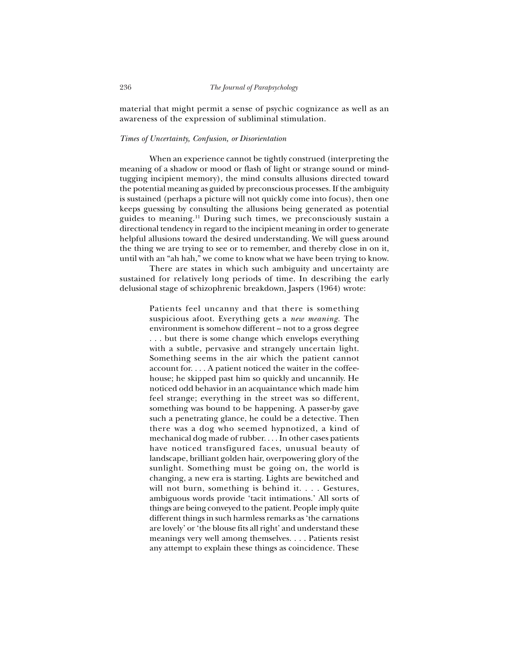material that might permit a sense of psychic cognizance as well as an awareness of the expression of subliminal stimulation.

#### *Times of Uncertainty, Confusion, or Disorientation*

When an experience cannot be tightly construed (interpreting the meaning of a shadow or mood or flash of light or strange sound or mindtugging incipient memory), the mind consults allusions directed toward the potential meaning as guided by preconscious processes. If the ambiguity is sustained (perhaps a picture will not quickly come into focus), then one keeps guessing by consulting the allusions being generated as potential guides to meaning.11 During such times, we preconsciously sustain a directional tendency in regard to the incipient meaning in order to generate helpful allusions toward the desired understanding. We will guess around the thing we are trying to see or to remember, and thereby close in on it, until with an "ah hah," we come to know what we have been trying to know.

There are states in which such ambiguity and uncertainty are sustained for relatively long periods of time. In describing the early delusional stage of schizophrenic breakdown, Jaspers (1964) wrote:

> Patients feel uncanny and that there is something suspicious afoot. Everything gets a *new meaning.* The environment is somehow different – not to a gross degree . . . but there is some change which envelops everything with a subtle, pervasive and strangely uncertain light. Something seems in the air which the patient cannot account for. . . . A patient noticed the waiter in the coffeehouse; he skipped past him so quickly and uncannily. He noticed odd behavior in an acquaintance which made him feel strange; everything in the street was so different, something was bound to be happening. A passer-by gave such a penetrating glance, he could be a detective. Then there was a dog who seemed hypnotized, a kind of mechanical dog made of rubber. . . . In other cases patients have noticed transfigured faces, unusual beauty of landscape, brilliant golden hair, overpowering glory of the sunlight. Something must be going on, the world is changing, a new era is starting. Lights are bewitched and will not burn, something is behind it. . . . Gestures, ambiguous words provide 'tacit intimations.' All sorts of things are being conveyed to the patient. People imply quite different things in such harmless remarks as 'the carnations are lovely' or 'the blouse fits all right' and understand these meanings very well among themselves. . . . Patients resist any attempt to explain these things as coincidence. These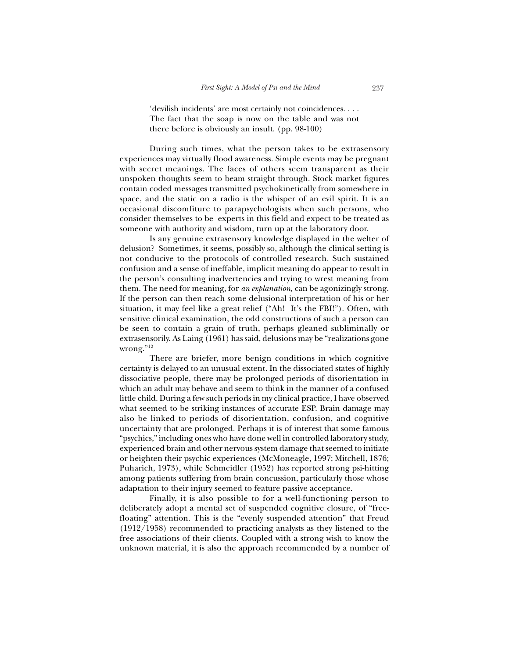'devilish incidents' are most certainly not coincidences. . . . The fact that the soap is now on the table and was not there before is obviously an insult. (pp. 98-100)

During such times, what the person takes to be extrasensory experiences may virtually flood awareness. Simple events may be pregnant with secret meanings. The faces of others seem transparent as their unspoken thoughts seem to beam straight through. Stock market figures contain coded messages transmitted psychokinetically from somewhere in space, and the static on a radio is the whisper of an evil spirit. It is an occasional discomfiture to parapsychologists when such persons, who consider themselves to be experts in this field and expect to be treated as someone with authority and wisdom, turn up at the laboratory door.

Is any genuine extrasensory knowledge displayed in the welter of delusion? Sometimes, it seems, possibly so, although the clinical setting is not conducive to the protocols of controlled research. Such sustained confusion and a sense of ineffable, implicit meaning do appear to result in the person's consulting inadvertencies and trying to wrest meaning from them. The need for meaning, for *an explanation,* can be agonizingly strong. If the person can then reach some delusional interpretation of his or her situation, it may feel like a great relief ("Ah! It's the FBI!"). Often, with sensitive clinical examination, the odd constructions of such a person can be seen to contain a grain of truth, perhaps gleaned subliminally or extrasensorily. As Laing (1961) has said, delusions may be "realizations gone wrong."<sup>12</sup>

There are briefer, more benign conditions in which cognitive certainty is delayed to an unusual extent. In the dissociated states of highly dissociative people, there may be prolonged periods of disorientation in which an adult may behave and seem to think in the manner of a confused little child. During a few such periods in my clinical practice, I have observed what seemed to be striking instances of accurate ESP. Brain damage may also be linked to periods of disorientation, confusion, and cognitive uncertainty that are prolonged. Perhaps it is of interest that some famous "psychics," including ones who have done well in controlled laboratory study, experienced brain and other nervous system damage that seemed to initiate or heighten their psychic experiences (McMoneagle, 1997; Mitchell, 1876; Puharich, 1973), while Schmeidler (1952) has reported strong psi-hitting among patients suffering from brain concussion, particularly those whose adaptation to their injury seemed to feature passive acceptance.

Finally, it is also possible to for a well-functioning person to deliberately adopt a mental set of suspended cognitive closure, of "freefloating" attention. This is the "evenly suspended attention" that Freud (1912/1958) recommended to practicing analysts as they listened to the free associations of their clients. Coupled with a strong wish to know the unknown material, it is also the approach recommended by a number of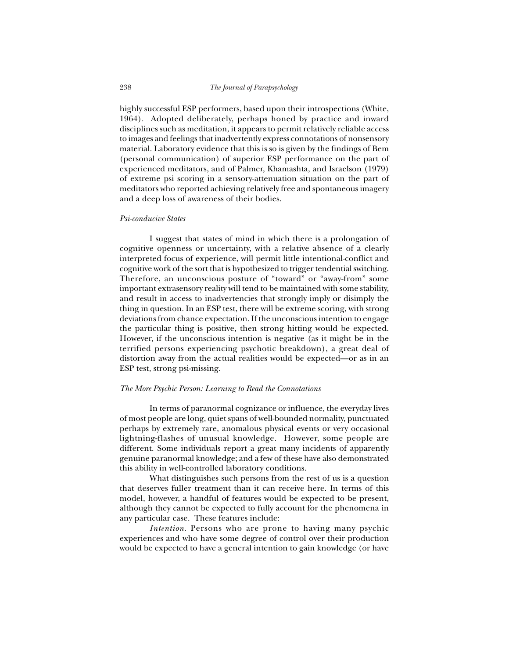highly successful ESP performers, based upon their introspections (White, 1964). Adopted deliberately, perhaps honed by practice and inward disciplines such as meditation, it appears to permit relatively reliable access to images and feelings that inadvertently express connotations of nonsensory material. Laboratory evidence that this is so is given by the findings of Bem (personal communication) of superior ESP performance on the part of experienced meditators, and of Palmer, Khamashta, and Israelson (1979) of extreme psi scoring in a sensory-attenuation situation on the part of meditators who reported achieving relatively free and spontaneous imagery and a deep loss of awareness of their bodies.

#### *Psi-conducive States*

I suggest that states of mind in which there is a prolongation of cognitive openness or uncertainty, with a relative absence of a clearly interpreted focus of experience, will permit little intentional-conflict and cognitive work of the sort that is hypothesized to trigger tendential switching. Therefore, an unconscious posture of "toward" or "away-from" some important extrasensory reality will tend to be maintained with some stability, and result in access to inadvertencies that strongly imply or disimply the thing in question. In an ESP test, there will be extreme scoring, with strong deviations from chance expectation. If the unconscious intention to engage the particular thing is positive, then strong hitting would be expected. However, if the unconscious intention is negative (as it might be in the terrified persons experiencing psychotic breakdown), a great deal of distortion away from the actual realities would be expected—or as in an ESP test, strong psi-missing.

#### *The More Psychic Person: Learning to Read the Connotations*

In terms of paranormal cognizance or influence, the everyday lives of most people are long, quiet spans of well-bounded normality, punctuated perhaps by extremely rare, anomalous physical events or very occasional lightning-flashes of unusual knowledge. However, some people are different. Some individuals report a great many incidents of apparently genuine paranormal knowledge; and a few of these have also demonstrated this ability in well-controlled laboratory conditions.

What distinguishes such persons from the rest of us is a question that deserves fuller treatment than it can receive here. In terms of this model, however, a handful of features would be expected to be present, although they cannot be expected to fully account for the phenomena in any particular case. These features include:

*Intention*. Persons who are prone to having many psychic experiences and who have some degree of control over their production would be expected to have a general intention to gain knowledge (or have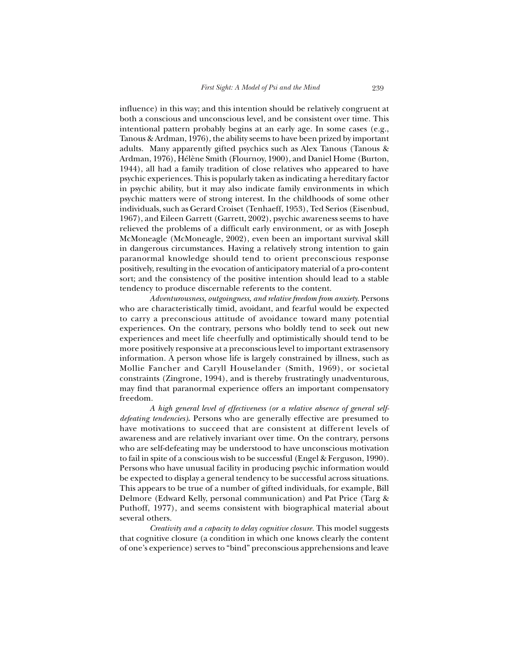influence) in this way; and this intention should be relatively congruent at both a conscious and unconscious level, and be consistent over time. This intentional pattern probably begins at an early age. In some cases (e.g., Tanous & Ardman, 1976), the ability seems to have been prized by important adults. Many apparently gifted psychics such as Alex Tanous (Tanous & Ardman, 1976), Hélène Smith (Flournoy, 1900), and Daniel Home (Burton, 1944), all had a family tradition of close relatives who appeared to have psychic experiences. This is popularly taken as indicating a hereditary factor in psychic ability, but it may also indicate family environments in which psychic matters were of strong interest. In the childhoods of some other individuals, such as Gerard Croiset (Tenhaeff, 1953), Ted Serios (Eisenbud, 1967), and Eileen Garrett (Garrett, 2002), psychic awareness seems to have relieved the problems of a difficult early environment, or as with Joseph McMoneagle (McMoneagle, 2002), even been an important survival skill in dangerous circumstances. Having a relatively strong intention to gain paranormal knowledge should tend to orient preconscious response positively, resulting in the evocation of anticipatory material of a pro-content sort; and the consistency of the positive intention should lead to a stable tendency to produce discernable referents to the content.

*Adventurousness, outgoingness, and relative freedom from anxiety*. Persons who are characteristically timid, avoidant, and fearful would be expected to carry a preconscious attitude of avoidance toward many potential experiences. On the contrary, persons who boldly tend to seek out new experiences and meet life cheerfully and optimistically should tend to be more positively responsive at a preconscious level to important extrasensory information. A person whose life is largely constrained by illness, such as Mollie Fancher and Caryll Houselander (Smith, 1969), or societal constraints (Zingrone, 1994), and is thereby frustratingly unadventurous, may find that paranormal experience offers an important compensatory freedom.

*A high general level of effectiveness (or a relative absence of general selfdefeating tendencies).* Persons who are generally effective are presumed to have motivations to succeed that are consistent at different levels of awareness and are relatively invariant over time. On the contrary, persons who are self-defeating may be understood to have unconscious motivation to fail in spite of a conscious wish to be successful (Engel & Ferguson, 1990). Persons who have unusual facility in producing psychic information would be expected to display a general tendency to be successful across situations. This appears to be true of a number of gifted individuals, for example, Bill Delmore (Edward Kelly, personal communication) and Pat Price (Targ & Puthoff, 1977), and seems consistent with biographical material about several others.

*Creativity and a capacity to delay cognitive closure.* This model suggests that cognitive closure (a condition in which one knows clearly the content of one's experience) serves to "bind" preconscious apprehensions and leave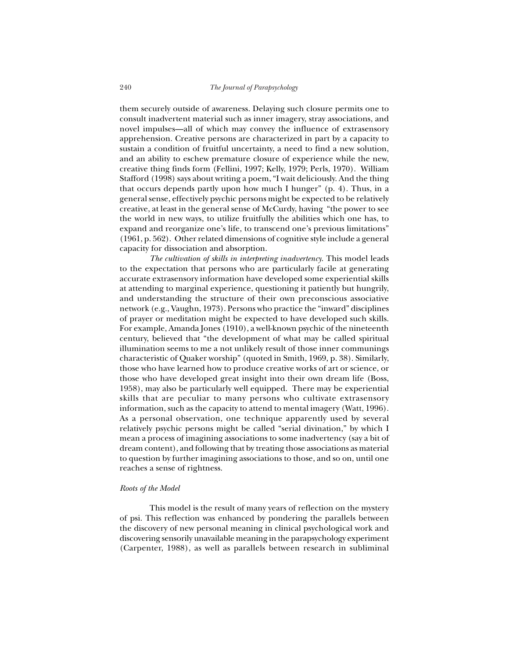them securely outside of awareness. Delaying such closure permits one to consult inadvertent material such as inner imagery, stray associations, and novel impulses—all of which may convey the influence of extrasensory apprehension. Creative persons are characterized in part by a capacity to sustain a condition of fruitful uncertainty, a need to find a new solution, and an ability to eschew premature closure of experience while the new, creative thing finds form (Fellini, 1997; Kelly, 1979; Perls, 1970). William Stafford (1998) says about writing a poem, "I wait deliciously. And the thing that occurs depends partly upon how much I hunger" (p. 4). Thus, in a general sense, effectively psychic persons might be expected to be relatively creative, at least in the general sense of McCurdy, having "the power to see the world in new ways, to utilize fruitfully the abilities which one has, to expand and reorganize one's life, to transcend one's previous limitations" (1961, p. 562). Other related dimensions of cognitive style include a general capacity for dissociation and absorption.

*The cultivation of skills in interpreting inadvertency*. This model leads to the expectation that persons who are particularly facile at generating accurate extrasensory information have developed some experiential skills at attending to marginal experience, questioning it patiently but hungrily, and understanding the structure of their own preconscious associative network (e.g., Vaughn, 1973). Persons who practice the "inward" disciplines of prayer or meditation might be expected to have developed such skills. For example, Amanda Jones (1910), a well-known psychic of the nineteenth century, believed that "the development of what may be called spiritual illumination seems to me a not unlikely result of those inner communings characteristic of Quaker worship" (quoted in Smith, 1969, p. 38). Similarly, those who have learned how to produce creative works of art or science, or those who have developed great insight into their own dream life (Boss, 1958), may also be particularly well equipped. There may be experiential skills that are peculiar to many persons who cultivate extrasensory information, such as the capacity to attend to mental imagery (Watt, 1996). As a personal observation, one technique apparently used by several relatively psychic persons might be called "serial divination," by which I mean a process of imagining associations to some inadvertency (say a bit of dream content), and following that by treating those associations as material to question by further imagining associations to those, and so on, until one reaches a sense of rightness.

# *Roots of the Model*

This model is the result of many years of reflection on the mystery of psi. This reflection was enhanced by pondering the parallels between the discovery of new personal meaning in clinical psychological work and discovering sensorily unavailable meaning in the parapsychology experiment (Carpenter, 1988), as well as parallels between research in subliminal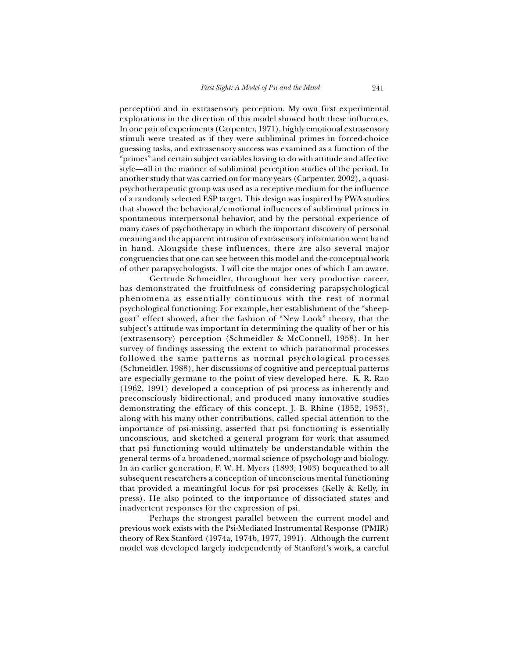perception and in extrasensory perception. My own first experimental explorations in the direction of this model showed both these influences. In one pair of experiments (Carpenter, 1971), highly emotional extrasensory stimuli were treated as if they were subliminal primes in forced-choice guessing tasks, and extrasensory success was examined as a function of the "primes" and certain subject variables having to do with attitude and affective style—all in the manner of subliminal perception studies of the period. In another study that was carried on for many years (Carpenter, 2002), a quasipsychotherapeutic group was used as a receptive medium for the influence of a randomly selected ESP target. This design was inspired by PWA studies that showed the behavioral/emotional influences of subliminal primes in spontaneous interpersonal behavior, and by the personal experience of many cases of psychotherapy in which the important discovery of personal meaning and the apparent intrusion of extrasensory information went hand in hand. Alongside these influences, there are also several major congruencies that one can see between this model and the conceptual work of other parapsychologists. I will cite the major ones of which I am aware.

Gertrude Schmeidler, throughout her very productive career, has demonstrated the fruitfulness of considering parapsychological phenomena as essentially continuous with the rest of normal psychological functioning. For example, her establishment of the "sheepgoat" effect showed, after the fashion of "New Look" theory, that the subject's attitude was important in determining the quality of her or his (extrasensory) perception (Schmeidler & McConnell, 1958). In her survey of findings assessing the extent to which paranormal processes followed the same patterns as normal psychological processes (Schmeidler, 1988), her discussions of cognitive and perceptual patterns are especially germane to the point of view developed here. K. R. Rao (1962, 1991) developed a conception of psi process as inherently and preconsciously bidirectional, and produced many innovative studies demonstrating the efficacy of this concept. J. B. Rhine (1952, 1953), along with his many other contributions, called special attention to the importance of psi-missing, asserted that psi functioning is essentially unconscious, and sketched a general program for work that assumed that psi functioning would ultimately be understandable within the general terms of a broadened, normal science of psychology and biology. In an earlier generation, F. W. H. Myers (1893, 1903) bequeathed to all subsequent researchers a conception of unconscious mental functioning that provided a meaningful locus for psi processes (Kelly & Kelly, in press). He also pointed to the importance of dissociated states and inadvertent responses for the expression of psi.

Perhaps the strongest parallel between the current model and previous work exists with the Psi-Mediated Instrumental Response (PMIR) theory of Rex Stanford (1974a, 1974b, 1977, 1991). Although the current model was developed largely independently of Stanford's work, a careful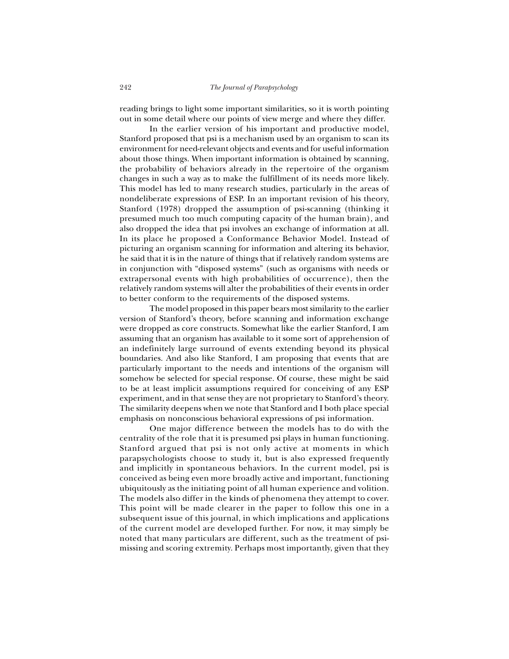reading brings to light some important similarities, so it is worth pointing out in some detail where our points of view merge and where they differ.

In the earlier version of his important and productive model, Stanford proposed that psi is a mechanism used by an organism to scan its environment for need-relevant objects and events and for useful information about those things. When important information is obtained by scanning, the probability of behaviors already in the repertoire of the organism changes in such a way as to make the fulfillment of its needs more likely. This model has led to many research studies, particularly in the areas of nondeliberate expressions of ESP. In an important revision of his theory, Stanford (1978) dropped the assumption of psi-scanning (thinking it presumed much too much computing capacity of the human brain), and also dropped the idea that psi involves an exchange of information at all. In its place he proposed a Conformance Behavior Model. Instead of picturing an organism scanning for information and altering its behavior, he said that it is in the nature of things that if relatively random systems are in conjunction with "disposed systems" (such as organisms with needs or extrapersonal events with high probabilities of occurrence), then the relatively random systems will alter the probabilities of their events in order to better conform to the requirements of the disposed systems.

The model proposed in this paper bears most similarity to the earlier version of Stanford's theory, before scanning and information exchange were dropped as core constructs. Somewhat like the earlier Stanford, I am assuming that an organism has available to it some sort of apprehension of an indefinitely large surround of events extending beyond its physical boundaries. And also like Stanford, I am proposing that events that are particularly important to the needs and intentions of the organism will somehow be selected for special response. Of course, these might be said to be at least implicit assumptions required for conceiving of any ESP experiment, and in that sense they are not proprietary to Stanford's theory. The similarity deepens when we note that Stanford and I both place special emphasis on nonconscious behavioral expressions of psi information.

One major difference between the models has to do with the centrality of the role that it is presumed psi plays in human functioning. Stanford argued that psi is not only active at moments in which parapsychologists choose to study it, but is also expressed frequently and implicitly in spontaneous behaviors. In the current model, psi is conceived as being even more broadly active and important, functioning ubiquitously as the initiating point of all human experience and volition. The models also differ in the kinds of phenomena they attempt to cover. This point will be made clearer in the paper to follow this one in a subsequent issue of this journal, in which implications and applications of the current model are developed further. For now, it may simply be noted that many particulars are different, such as the treatment of psimissing and scoring extremity. Perhaps most importantly, given that they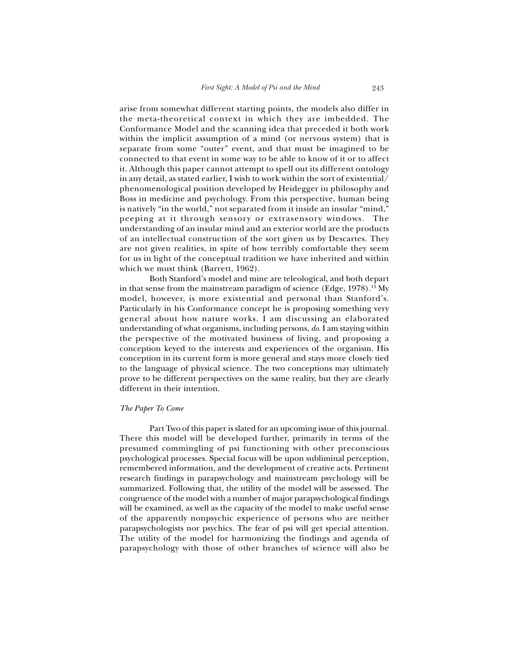arise from somewhat different starting points, the models also differ in the meta-theoretical context in which they are imbedded. The Conformance Model and the scanning idea that preceded it both work within the implicit assumption of a mind (or nervous system) that is separate from some "outer" event, and that must be imagined to be connected to that event in some way to be able to know of it or to affect it. Although this paper cannot attempt to spell out its different ontology in any detail, as stated earlier, I wish to work within the sort of existential/ phenomenological position developed by Heidegger in philosophy and Boss in medicine and psychology. From this perspective, human being is natively "in the world," not separated from it inside an insular "mind," peeping at it through sensory or extrasensory windows. The understanding of an insular mind and an exterior world are the products of an intellectual construction of the sort given us by Descartes. They are not given realities, in spite of how terribly comfortable they seem for us in light of the conceptual tradition we have inherited and within which we must think (Barrett, 1962).

Both Stanford's model and mine are teleological, and both depart in that sense from the mainstream paradigm of science (Edge,  $1978$ ).<sup>13</sup> My model, however, is more existential and personal than Stanford's. Particularly in his Conformance concept he is proposing something very general about how nature works. I am discussing an elaborated understanding of what organisms, including persons, *do*. I am staying within the perspective of the motivated business of living, and proposing a conception keyed to the interests and experiences of the organism. His conception in its current form is more general and stays more closely tied to the language of physical science. The two conceptions may ultimately prove to be different perspectives on the same reality, but they are clearly different in their intention.

# *The Paper To Come*

Part Two of this paper is slated for an upcoming issue of this journal*.* There this model will be developed further, primarily in terms of the presumed commingling of psi functioning with other preconscious psychological processes. Special focus will be upon subliminal perception, remembered information, and the development of creative acts. Pertinent research findings in parapsychology and mainstream psychology will be summarized. Following that, the utility of the model will be assessed. The congruence of the model with a number of major parapsychological findings will be examined, as well as the capacity of the model to make useful sense of the apparently nonpsychic experience of persons who are neither parapsychologists nor psychics. The fear of psi will get special attention. The utility of the model for harmonizing the findings and agenda of parapsychology with those of other branches of science will also be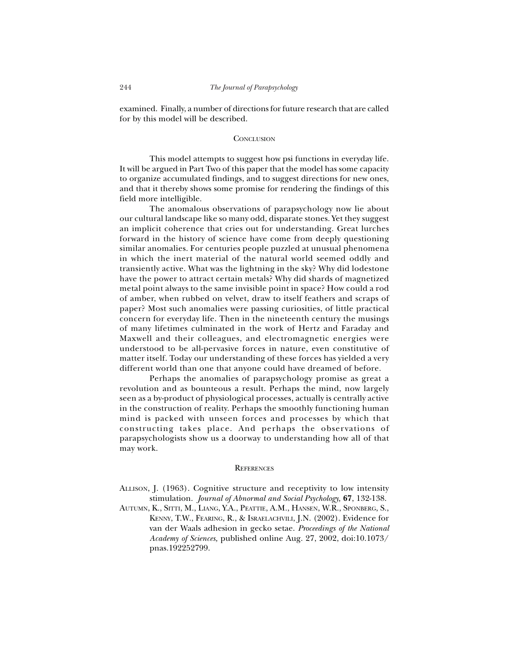examined. Finally, a number of directions for future research that are called for by this model will be described.

# **CONCLUSION**

This model attempts to suggest how psi functions in everyday life. It will be argued in Part Two of this paper that the model has some capacity to organize accumulated findings, and to suggest directions for new ones, and that it thereby shows some promise for rendering the findings of this field more intelligible.

The anomalous observations of parapsychology now lie about our cultural landscape like so many odd, disparate stones. Yet they suggest an implicit coherence that cries out for understanding. Great lurches forward in the history of science have come from deeply questioning similar anomalies. For centuries people puzzled at unusual phenomena in which the inert material of the natural world seemed oddly and transiently active. What was the lightning in the sky? Why did lodestone have the power to attract certain metals? Why did shards of magnetized metal point always to the same invisible point in space? How could a rod of amber, when rubbed on velvet, draw to itself feathers and scraps of paper? Most such anomalies were passing curiosities, of little practical concern for everyday life. Then in the nineteenth century the musings of many lifetimes culminated in the work of Hertz and Faraday and Maxwell and their colleagues, and electromagnetic energies were understood to be all-pervasive forces in nature, even constitutive of matter itself. Today our understanding of these forces has yielded a very different world than one that anyone could have dreamed of before.

Perhaps the anomalies of parapsychology promise as great a revolution and as bounteous a result. Perhaps the mind, now largely seen as a by-product of physiological processes, actually is centrally active in the construction of reality. Perhaps the smoothly functioning human mind is packed with unseen forces and processes by which that constructing takes place. And perhaps the observations of parapsychologists show us a doorway to understanding how all of that may work.

#### **REFERENCES**

- ALLISON, J. (1963). Cognitive structure and receptivity to low intensity stimulation. *Journal of Abnormal and Social Psychology,* **67**, 132-138.
- AUTUMN, K., SITTI, M., LIANG, Y.A., PEATTIE, A.M., HANSEN, W.R., SPONBERG, S., KENNY, T.W., FEARING, R., & ISRAELACHVILI, J.N. (2002). Evidence for van der Waals adhesion in gecko setae. *Proceedings of the National Academy of Sciences,* published online Aug. 27, 2002, doi:10.1073/ pnas.192252799.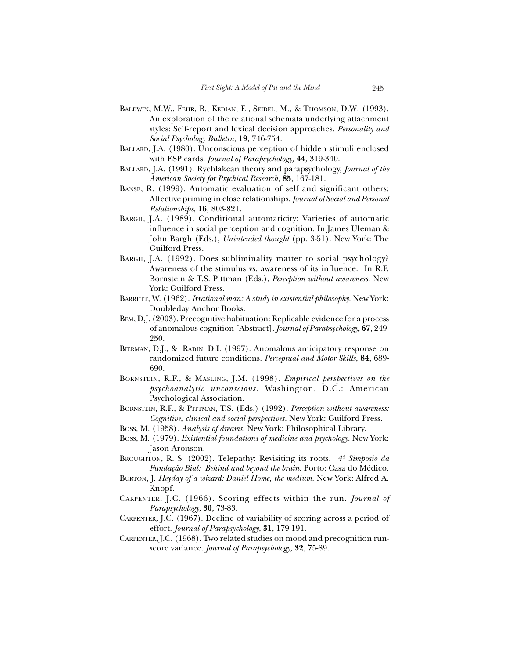- BALDWIN, M.W., FEHR, B., KEDIAN, E., SEIDEL, M., & THOMSON, D.W. (1993). An exploration of the relational schemata underlying attachment styles: Self-report and lexical decision approaches. *Personality and Social Psychology Bulletin,* **19**, 746-754.
- BALLARD, J.A. (1980). Unconscious perception of hidden stimuli enclosed with ESP cards. *Journal of Parapsychology,* **44**, 319-340.
- BALLARD, J.A. (1991). Rychlakean theory and parapsychology, *Journal of the American Society for Psychical Research*, **85**, 167-181.
- BANSE, R. (1999). Automatic evaluation of self and significant others: Affective priming in close relationships. *Journal of Social and Personal Relationships,* **16**, 803-821.
- BARGH, J.A. (1989). Conditional automaticity: Varieties of automatic influence in social perception and cognition. In James Uleman & John Bargh (Eds.), *Unintended thought* (pp. 3-51). New York: The Guilford Press.
- BARGH, J.A. (1992). Does subliminality matter to social psychology? Awareness of the stimulus vs. awareness of its influence. In R.F. Bornstein & T.S. Pittman (Eds.), *Perception without awareness.* New York: Guilford Press.
- BARRETT, W. (1962). *Irrational man: A study in existential philosophy.* New York: Doubleday Anchor Books.
- BEM, D.J. (2003). Precognitive habituation: Replicable evidence for a process of anomalous cognition [Abstract]. *Journal of Parapsychology,* **67**, 249- 250.
- BIERMAN, D.J., & RADIN, D.I. (1997). Anomalous anticipatory response on randomized future conditions. *Perceptual and Motor Skills,* **84**, 689- 690.
- BORNSTEIN, R.F., & MASLING, J.M. (1998). *Empirical perspectives on the psychoanalytic unconscious.* Washington, D.C.: American Psychological Association.
- BORNSTEIN, R.F., & PITTMAN, T.S. (Eds.) (1992). *Perception without awareness: Cognitive, clinical and social perspectives.* New York: Guilford Press.
- BOSS, M. (1958). *Analysis of dreams.* New York: Philosophical Library.
- BOSS, M. (1979). *Existential foundations of medicine and psychology.* New York: Jason Aronson.
- BROUGHTON, R. S. (2002). Telepathy: Revisiting its roots. *4º Simposio da Fundação Bial: Behind and beyond the brain.* Porto: Casa do Médico.
- BURTON, J. *Heyday of a wizard: Daniel Home, the medium.* New York: Alfred A. Knopf.
- CARPENTER, J.C. (1966). Scoring effects within the run. *Journal of Parapsychology*, **30**, 73-83.
- CARPENTER, J.C. (1967). Decline of variability of scoring across a period of effort. *Journal of Parapsychology*, **31**, 179-191.
- CARPENTER, J.C. (1968). Two related studies on mood and precognition runscore variance. *Journal of Parapsychology*, **32**, 75-89.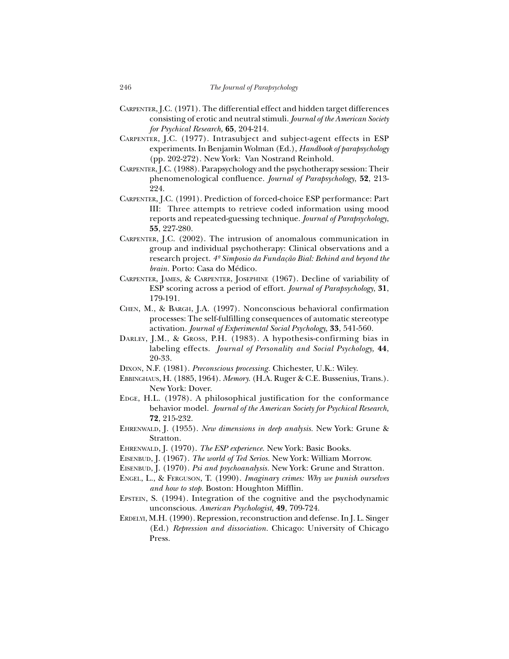- CARPENTER, J.C. (1971). The differential effect and hidden target differences consisting of erotic and neutral stimuli. *Journal of the American Society for Psychical Research,* **65**, 204-214.
- CARPENTER, J.C. (1977). Intrasubject and subject-agent effects in ESP experiments. In Benjamin Wolman (Ed.), *Handbook of parapsychology* (pp. 202-272)*.* New York: Van Nostrand Reinhold.
- CARPENTER, J.C. (1988). Parapsychology and the psychotherapy session: Their phenomenological confluence. *Journal of Parapsychology*, **52**, 213- 224.
- CARPENTER, J.C. (1991). Prediction of forced-choice ESP performance: Part III: Three attempts to retrieve coded information using mood reports and repeated-guessing technique. *Journal of Parapsychology*, **55**, 227-280.
- CARPENTER, J.C. (2002). The intrusion of anomalous communication in group and individual psychotherapy: Clinical observations and a research project. *4º Simposio da Fundação Bial: Behind and beyond the brain.* Porto: Casa do Médico.
- CARPENTER, JAMES, & CARPENTER, JOSEPHINE (1967). Decline of variability of ESP scoring across a period of effort. *Journal of Parapsychology*, **31**, 179-191.
- CHEN, M., & BARGH, J.A. (1997). Nonconscious behavioral confirmation processes: The self-fulfilling consequences of automatic stereotype activation. *Journal of Experimental Social Psychology,* **33**, 541-560.
- DARLEY, J.M., & GROSS, P.H. (1983). A hypothesis-confirming bias in labeling effects. *Journal of Personality and Social Psychology,* **44**, 20-33.
- DIXON, N.F. (1981). *Preconscious processing.* Chichester, U.K.: Wiley.
- EBBINGHAUS, H. (1885, 1964). *Memory.* (H.A. Ruger & C.E. Bussenius, Trans.). New York: Dover.
- EDGE, H.L. (1978). A philosophical justification for the conformance behavior model. *Journal of the American Society for Psychical Research,* **72**, 215-232.
- EHRENWALD, J. (1955). *New dimensions in deep analysis.* New York: Grune & Stratton.
- EHRENWALD, J. (1970). *The ESP experience.* New York: Basic Books.
- EISENBUD, J. (1967). *The world of Ted Serios.* New York: William Morrow.
- EISENBUD, J. (1970). *Psi and psychoanalysis.* New York: Grune and Stratton.
- ENGEL, L., & FERGUSON, T. (1990). *Imaginary crimes: Why we punish ourselves and how to stop.* Boston: Houghton Mifflin.
- EPSTEIN, S. (1994). Integration of the cognitive and the psychodynamic unconscious. *American Psychologist,* **49**, 709-724.
- ERDELYI, M.H. (1990). Repression, reconstruction and defense. In J. L. Singer (Ed.) *Repression and dissociation.* Chicago: University of Chicago Press.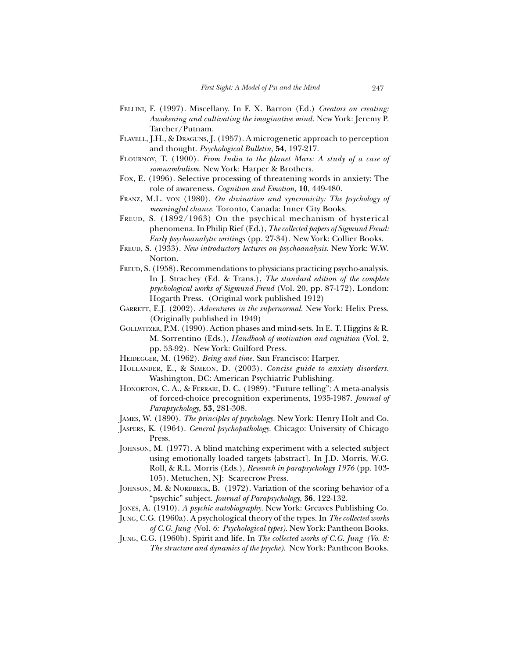- FELLINI, F. (1997). Miscellany. In F. X. Barron (Ed.) *Creators on creating: Awakening and cultivating the imaginative mind.* New York: Jeremy P. Tarcher/Putnam.
- FLAVELL, J.H., & DRAGUNS, J. (1957). A microgenetic approach to perception and thought. *Psychological Bulletin,* **54**, 197-217.
- FLOURNOY, T. (1900). *From India to the planet Mars: A study of a case of somnambulism.* New York: Harper & Brothers.
- FOX, E. (1996). Selective processing of threatening words in anxiety: The role of awareness. *Cognition and Emotion,* **10**, 449-480.
- FRANZ, M.L. VON (1980). *On divination and syncronicity: The psychology of meaningful chance.* Toronto, Canada: Inner City Books.
- FREUD, S. (1892/1963) On the psychical mechanism of hysterical phenomena. In Philip Rief (Ed.), *The collected papers of Sigmund Freud: Early psychoanalytic writings* (pp. 27-34)*.* New York: Collier Books.
- FREUD, S. (1933). *New introductory lectures on psychoanalysis.* New York: W.W. Norton.
- FREUD, S. (1958). Recommendations to physicians practicing psycho-analysis. In J. Strachey (Ed. & Trans.), *The standard edition of the complete psychological works of Sigmund Freud* (Vol. 20, pp. 87-172). London: Hogarth Press. (Original work published 1912)
- GARRETT, E.J. (2002). *Adventures in the supernormal.* New York: Helix Press. (Originally published in 1949)
- GOLLWITZER, P.M. (1990). Action phases and mind-sets. In E. T. Higgins & R. M. Sorrentino (Eds.), *Handbook of motivation and cognition* (Vol. 2, pp. 53-92). New York: Guilford Press.
- HEIDEGGER, M. (1962). *Being and time.* San Francisco: Harper.
- HOLLANDER, E., & SIMEON, D. (2003). *Concise guide to anxiety disorders.* Washington, DC: American Psychiatric Publishing.
- HONORTON, C. A., & FERRARI, D. C. (1989). "Future telling": A meta-analysis of forced-choice precognition experiments, 1935-1987. *Journal of Parapsychology,* **53**, 281-308.
- JAMES, W. (1890). *The principles of psychology.* New York: Henry Holt and Co.
- JASPERS, K. (1964). *General psychopathology.* Chicago: University of Chicago Press.
- JOHNSON, M. (1977). A blind matching experiment with a selected subject using emotionally loaded targets {abstract]. In J.D. Morris, W.G. Roll, & R.L. Morris (Eds.), *Research in parapsychology 1976* (pp. 103- 105)*.* Metuchen, NJ: Scarecrow Press.
- JOHNSON, M. & NORDBECK, B. (1972). Variation of the scoring behavior of a "psychic" subject. *Journal of Parapsychology,* **36**, 122-132.
- JONES, A. (1910). *A psychic autobiography.* New York: Greaves Publishing Co.
- JUNG, C.G. (1960a). A psychological theory of the types. In *The collected works of C.G. Jung (*Vol. *6: Psychological types).* New York: Pantheon Books.
- JUNG, C.G. (1960b). Spirit and life. In *The collected works of C.G. Jung (Vo. 8: The structure and dynamics of the psyche)*. New York: Pantheon Books.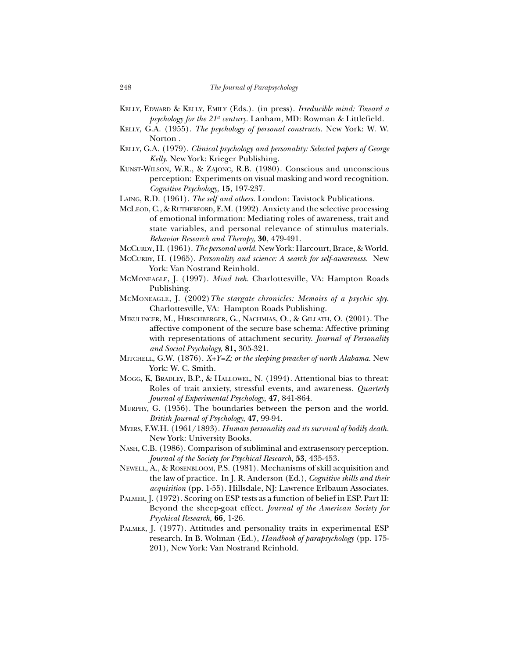- KELLY, EDWARD & KELLY, EMILY (Eds.). (in press). *Irreducible mind: Toward a psychology for the 21st century.* Lanham, MD: Rowman & Littlefield.
- KELLY, G.A. (1955). *The psychology of personal constructs.* New York: W. W. Norton .
- KELLY, G.A. (1979). *Clinical psychology and personality: Selected papers of George Kelly.* New York: Krieger Publishing.
- KUNST-WILSON, W.R., & ZAJONC, R.B. (1980). Conscious and unconscious perception: Experiments on visual masking and word recognition. *Cognitive Psychology,* **15**, 197-237.
- LAING, R.D. (1961). *The self and others.* London: Tavistock Publications.
- MCLEOD, C., & RUTHERFORD, E.M. (1992). Anxiety and the selective processing of emotional information: Mediating roles of awareness, trait and state variables, and personal relevance of stimulus materials. *Behavior Research and Therapy,* **30**, 479-491.
- MCCURDY, H. (1961). *The personal world.* New York: Harcourt, Brace, & World.
- MCCURDY, H. (1965). *Personality and science: A search for self-awareness.* New York: Van Nostrand Reinhold.
- MCMONEAGLE, J. (1997). *Mind trek.* Charlottesville, VA: Hampton Roads Publishing.
- MCMONEAGLE, J. (2002)*The stargate chronicles: Memoirs of a psychic spy.* Charlottesville, VA: Hampton Roads Publishing.
- MIKULINCER, M., HIRSCHBERGER, G., NACHMIAS, O., & GILLATH, O. (2001). The affective component of the secure base schema: Affective priming with representations of attachment security. *Journal of Personality and Social Psychology,* **81,** 305-321.
- MITCHELL, G.W. (1876). *X+Y=Z; or the sleeping preacher of north Alabama.* New York: W. C. Smith.
- MOGG, K, BRADLEY, B.P., & HALLOWEL, N. (1994). Attentional bias to threat: Roles of trait anxiety, stressful events, and awareness. *Quarterly Journal of Experimental Psychology,* **47**, 841-864.
- MURPHY, G. (1956). The boundaries between the person and the world. *British Journal of Psychology,* **47**, 99-94.
- MYERS, F.W.H. (1961/1893). *Human personality and its survival of bodily death.* New York: University Books.
- NASH, C.B. (1986). Comparison of subliminal and extrasensory perception. *Journal of the Society for Psychical Research,* **53**, 435-453.
- NEWELL, A., & ROSENBLOOM, P.S. (1981). Mechanisms of skill acquisition and the law of practice. In J. R. Anderson (Ed.), *Cognitive skills and their acquisition* (pp. 1-55). Hillsdale, NJ: Lawrence Erlbaum Associates.
- PALMER, J. (1972). Scoring on ESP tests as a function of belief in ESP. Part II: Beyond the sheep-goat effect. *Journal of the American Society for Psychical Research,* **66***,* 1-26.
- PALMER, J. (1977). Attitudes and personality traits in experimental ESP research. In B. Wolman (Ed.), *Handbook of parapsychology* (pp. 175- 201)*,* New York: Van Nostrand Reinhold.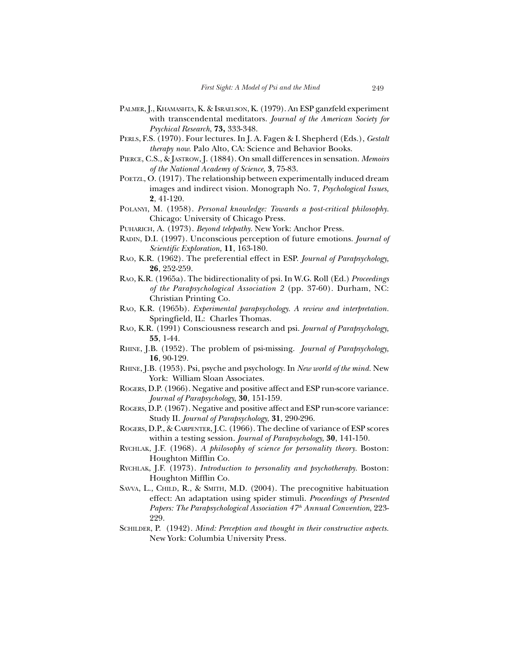- PALMER, J., KHAMASHTA, K. & ISRAELSON, K. (1979). An ESP ganzfeld experiment with transcendental meditators. *Journal of the American Society for Psychical Research*, **73,** 333-348.
- PERLS, F.S. (1970). Four lectures. In J. A. Fagen & I. Shepherd (Eds.), *Gestalt therapy now.* Palo Alto, CA: Science and Behavior Books.
- PIERCE, C.S., & JASTROW, J. (1884). On small differences in sensation. *Memoirs of the National Academy of Science,* **3**, 75-83.
- POETZL, O. (1917). The relationship between experimentally induced dream images and indirect vision. Monograph No. 7, *Psychological Issues,* **2**, 41-120.
- POLANYI, M. (1958). *Personal knowledge: Towards a post-critical philosophy.* Chicago: University of Chicago Press.
- PUHARICH, A. (1973). *Beyond telepathy.* New York: Anchor Press.
- RADIN, D.I. (1997). Unconscious perception of future emotions. *Journal of Scientific Exploration,* **11**, 163-180.
- RAO, K.R. (1962). The preferential effect in ESP. *Journal of Parapsychology,* **26**, 252-259.
- RAO, K.R. (1965a). The bidirectionality of psi. In W.G. Roll (Ed.) *Proceedings of the Parapsychological Association 2* (pp. 37-60). Durham, NC: Christian Printing Co.
- RAO, K.R. (1965b). *Experimental parapsychology. A review and interpretation.* Springfield, IL: Charles Thomas.
- RAO, K.R. (1991) Consciousness research and psi. *Journal of Parapsychology,* **55**, 1-44.
- RHINE, J.B. (1952). The problem of psi-missing. *Journal of Parapsychology,* **16**, 90-129.
- RHINE, J.B. (1953). Psi, psyche and psychology. In *New world of the mind.* New York: William Sloan Associates.
- ROGERS, D.P. (1966). Negative and positive affect and ESP run-score variance. *Journal of Parapsychology,* **30**, 151-159.
- ROGERS, D.P. (1967). Negative and positive affect and ESP run-score variance: Study II. *Journal of Parapsychology,* **31**, 290-296.
- ROGERS, D.P., & CARPENTER, J.C. (1966). The decline of variance of ESP scores within a testing session. *Journal of Parapsychology,* **30**, 141-150.
- RYCHLAK, J.F. (1968). *A philosophy of science for personality theory.* Boston: Houghton Mifflin Co.
- RYCHLAK, J.F. (1973). *Introduction to personality and psychotherapy.* Boston: Houghton Mifflin Co.
- SAVVA, L., CHILD, R., & SMITH, M.D. (2004). The precognitive habituation effect: An adaptation using spider stimuli. *Proceedings of Presented Papers: The Parapsychological Association 47th Annual Convention*, 223- 229.
- SCHILDER, P. (1942). *Mind: Perception and thought in their constructive aspects.* New York: Columbia University Press.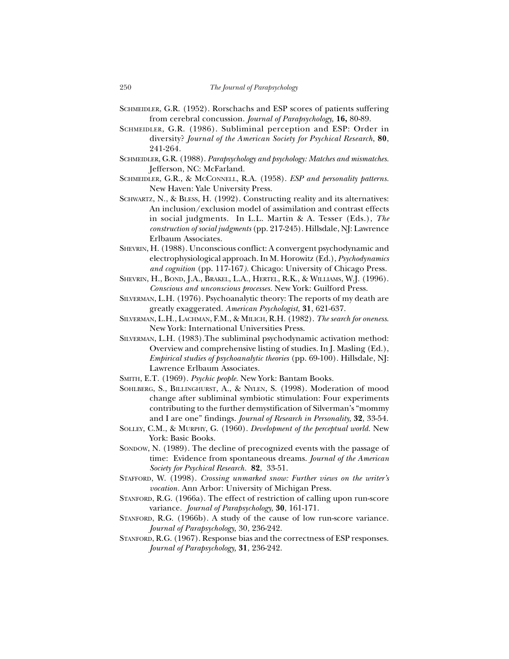- SCHMEIDLER, G.R. (1952). Rorschachs and ESP scores of patients suffering from cerebral concussion. *Journal of Parapsychology,* **16,** 80-89.
- SCHMEIDLER, G.R. (1986). Subliminal perception and ESP: Order in diversity? *Journal of the American Society for Psychical Research*, **80**, 241-264.
- SCHMEIDLER, G.R. (1988). *Parapsychology and psychology: Matches and mismatches.* Jefferson, NC: McFarland.
- SCHMEIDLER, G.R., & MCCONNELL, R.A. (1958). *ESP and personality patterns.* New Haven: Yale University Press.
- SCHWARTZ, N., & BLESS, H. (1992). Constructing reality and its alternatives: An inclusion/exclusion model of assimilation and contrast effects in social judgments. In L.L. Martin & A. Tesser (Eds.), *The construction of social judgments* (pp. 217-245). Hillsdale, NJ: Lawrence Erlbaum Associates.
- SHEVRIN, H. (1988). Unconscious conflict: A convergent psychodynamic and electrophysiological approach. In M. Horowitz (Ed.), *Psychodynamics and cognition* (pp. 117-167*).* Chicago: University of Chicago Press.
- SHEVRIN, H., BOND, J.A., BRAKEL, L.A., HERTEL, R.K., & WILLIAMS, W.J. (1996). *Conscious and unconscious processes.* New York: Guilford Press.
- SILVERMAN, L.H. (1976). Psychoanalytic theory: The reports of my death are greatly exaggerated. *American Psychologist,* **31**, 621-637.
- SILVERMAN, L.H., LACHMAN, F.M., & MILICH, R.H. (1982). *The search for oneness*. New York: International Universities Press.
- SILVERMAN, L.H. (1983).The subliminal psychodynamic activation method: Overview and comprehensive listing of studies. In J. Masling (Ed.), *Empirical studies of psychoanalytic theories* (pp. 69-100). Hillsdale, NJ: Lawrence Erlbaum Associates.
- SMITH, E.T. (1969). *Psychic people.* New York: Bantam Books.
- SOHLBERG, S., BILLINGHURST, A., & NYLEN, S. (1998). Moderation of mood change after subliminal symbiotic stimulation: Four experiments contributing to the further demystification of Silverman's "mommy and I are one" findings. *Journal of Research in Personality,* **32**, 33-54.
- SOLLEY, C.M., & MURPHY, G. (1960). *Development of the perceptual world.* New York: Basic Books.
- SONDOW, N. (1989). The decline of precognized events with the passage of time: Evidence from spontaneous dreams. *Journal of the American Society for Psychical Research.* **82**, 33-51.
- STAFFORD, W. (1998). *Crossing unmarked snow: Further views on the writer's vocation.* Ann Arbor: University of Michigan Press.
- STANFORD, R.G. (1966a). The effect of restriction of calling upon run-score variance. *Journal of Parapsychology,* **30**, 161-171.
- STANFORD, R.G. (1966b). A study of the cause of low run-score variance. *Journal of Parapsychology,* 30, 236-242.
- STANFORD, R.G. (1967). Response bias and the correctness of ESP responses. *Journal of Parapsychology,* **31**, 236-242.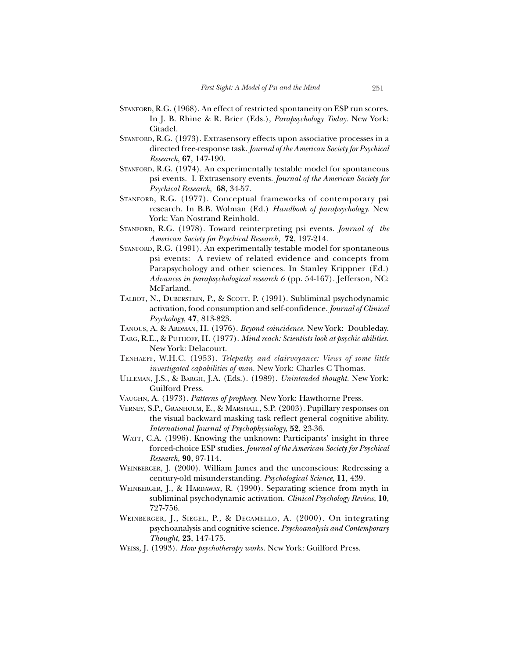- STANFORD, R.G. (1968). An effect of restricted spontaneity on ESP run scores. In J. B. Rhine & R. Brier (Eds.), *Parapsychology Today.* New York: Citadel.
- STANFORD, R.G. (1973). Extrasensory effects upon associative processes in a directed free-response task. *Journal of the American Society for Psychical Research*, **67**, 147-190.
- STANFORD, R.G. (1974). An experimentally testable model for spontaneous psi events. I. Extrasensory events. *Journal of the American Society for Psychical Research,* **68**, 34-57.
- STANFORD, R.G. (1977). Conceptual frameworks of contemporary psi research. In B.B. Wolman (Ed.) *Handbook of parapsychology.* New York: Van Nostrand Reinhold.
- STANFORD, R.G. (1978). Toward reinterpreting psi events. *Journal of the American Society for Psychical Research,* **72**, 197-214.
- STANFORD, R.G. (1991). An experimentally testable model for spontaneous psi events: A review of related evidence and concepts from Parapsychology and other sciences. In Stanley Krippner (Ed.) *Advances in parapsychological research 6* (pp. 54-167)*.* Jefferson, NC: McFarland.
- TALBOT, N., DUBERSTEIN, P., & SCOTT, P. (1991). Subliminal psychodynamic activation, food consumption and self-confidence. *Journal of Clinical Psychology,* **47**, 813-823.
- TANOUS, A. & ARDMAN, H. (1976). *Beyond coincidence.* New York: Doubleday.
- TARG, R.E., & PUTHOFF, H. (1977). *Mind reach: Scientists look at psychic abilities.* New York: Delacourt.
- TENHAEFF, W.H.C. (1953). *Telepathy and clairvoyance: Views of some little investigated capabilities of man.* New York: Charles C Thomas.
- ULLEMAN, J.S., & BARGH, J.A. (Eds.). (1989). *Unintended thought.* New York: Guilford Press.
- VAUGHN, A. (1973). *Patterns of prophecy.* New York: Hawthorne Press.
- VERNEY, S.P., GRANHOLM, E., & MARSHALL, S.P. (2003). Pupillary responses on the visual backward masking task reflect general cognitive ability. *International Journal of Psychophysiology,* **52**, 23-36.
- WATT, C.A. (1996). Knowing the unknown: Participants' insight in three forced-choice ESP studies. *Journal of the American Society for Psychical Research,* **90**, 97-114.
- WEINBERGER, J. (2000). William James and the unconscious: Redressing a century-old misunderstanding. *Psychological Science,* **11**, 439.
- WEINBERGER, J., & HARDAWAY, R. (1990). Separating science from myth in subliminal psychodynamic activation. *Clinical Psychology Review,* **10**, 727-756.
- WEINBERGER, J., SIEGEL, P., & DECAMELLO, A. (2000). On integrating psychoanalysis and cognitive science. *Psychoanalysis and Contemporary Thought,* **23**, 147-175.
- WEISS, J. (1993). *How psychotherapy works.* New York: Guilford Press.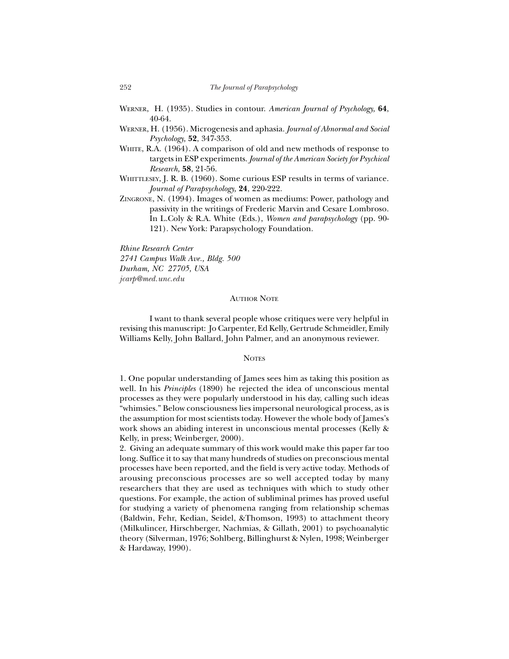- WERNER, H. (1935). Studies in contour. *American Journal of Psychology,* **64**, 40-64.
- WERNER, H. (1956). Microgenesis and aphasia. *Journal of Abnormal and Social Psychology,* **52**, 347-353.
- WHITE, R.A. (1964). A comparison of old and new methods of response to targets in ESP experiments. *Journal of the American Society for Psychical Research,* **58**, 21-56.
- WHITTLESEY, J. R. B. (1960). Some curious ESP results in terms of variance. *Journal of Parapsychology,* **24**, 220-222.
- ZINGRONE, N. (1994). Images of women as mediums: Power, pathology and passivity in the writings of Frederic Marvin and Cesare Lombroso. In L.Coly & R.A. White (Eds.), *Women and parapsychology* (pp. 90- 121). New York: Parapsychology Foundation.

*Rhine Research Center 2741 Campus Walk Ave., Bldg. 500 Durham, NC 27705, USA jcarp@med.unc.edu*

# AUTHOR NOTE

I want to thank several people whose critiques were very helpful in revising this manuscript: Jo Carpenter, Ed Kelly, Gertrude Schmeidler, Emily Williams Kelly, John Ballard, John Palmer, and an anonymous reviewer.

#### **NOTES**

1. One popular understanding of James sees him as taking this position as well. In his *Principles* (1890) he rejected the idea of unconscious mental processes as they were popularly understood in his day, calling such ideas "whimsies." Below consciousness lies impersonal neurological process, as is the assumption for most scientists today. However the whole body of James's work shows an abiding interest in unconscious mental processes (Kelly & Kelly, in press; Weinberger, 2000).

2. Giving an adequate summary of this work would make this paper far too long. Suffice it to say that many hundreds of studies on preconscious mental processes have been reported, and the field is very active today. Methods of arousing preconscious processes are so well accepted today by many researchers that they are used as techniques with which to study other questions. For example, the action of subliminal primes has proved useful for studying a variety of phenomena ranging from relationship schemas (Baldwin, Fehr, Kedian, Seidel, &Thomson, 1993) to attachment theory (Milkulincer, Hirschberger, Nachmias, & Gillath, 2001) to psychoanalytic theory (Silverman, 1976; Sohlberg, Billinghurst & Nylen, 1998; Weinberger & Hardaway, 1990).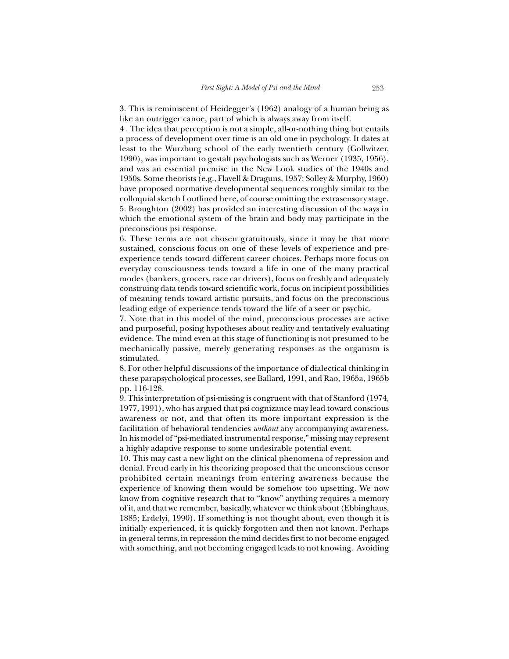3. This is reminiscent of Heidegger's (1962) analogy of a human being as like an outrigger canoe, part of which is always away from itself.

4 . The idea that perception is not a simple, all-or-nothing thing but entails a process of development over time is an old one in psychology. It dates at least to the Wurzburg school of the early twentieth century (Gollwitzer, 1990), was important to gestalt psychologists such as Werner (1935, 1956), and was an essential premise in the New Look studies of the 1940s and 1950s. Some theorists (e.g., Flavell & Draguns, 1957; Solley & Murphy, 1960) have proposed normative developmental sequences roughly similar to the colloquial sketch I outlined here, of course omitting the extrasensory stage. 5. Broughton (2002) has provided an interesting discussion of the ways in which the emotional system of the brain and body may participate in the preconscious psi response.

6. These terms are not chosen gratuitously, since it may be that more sustained, conscious focus on one of these levels of experience and preexperience tends toward different career choices. Perhaps more focus on everyday consciousness tends toward a life in one of the many practical modes (bankers, grocers, race car drivers), focus on freshly and adequately construing data tends toward scientific work, focus on incipient possibilities of meaning tends toward artistic pursuits, and focus on the preconscious leading edge of experience tends toward the life of a seer or psychic.

7. Note that in this model of the mind, preconscious processes are active and purposeful, posing hypotheses about reality and tentatively evaluating evidence. The mind even at this stage of functioning is not presumed to be mechanically passive, merely generating responses as the organism is stimulated.

8. For other helpful discussions of the importance of dialectical thinking in these parapsychological processes, see Ballard, 1991, and Rao, 1965a, 1965b pp. 116-128.

9. This interpretation of psi-missing is congruent with that of Stanford (1974, 1977, 1991), who has argued that psi cognizance may lead toward conscious awareness or not, and that often its more important expression is the facilitation of behavioral tendencies *without* any accompanying awareness. In his model of "psi-mediated instrumental response," missing may represent a highly adaptive response to some undesirable potential event.

10. This may cast a new light on the clinical phenomena of repression and denial. Freud early in his theorizing proposed that the unconscious censor prohibited certain meanings from entering awareness because the experience of knowing them would be somehow too upsetting. We now know from cognitive research that to "know" anything requires a memory of it, and that we remember, basically, whatever we think about (Ebbinghaus, 1885; Erdelyi, 1990). If something is not thought about, even though it is initially experienced, it is quickly forgotten and then not known. Perhaps in general terms, in repression the mind decides first to not become engaged with something, and not becoming engaged leads to not knowing. Avoiding